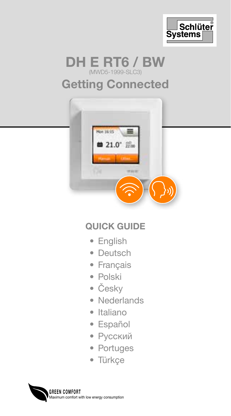



# Getting Connected



## QUICK GUIDE

- English
- Deutsch
- Français
- Polski
- Česky
- Nederlands
- Italiano
- Español
- Русский
- Portuges
- Türkçe

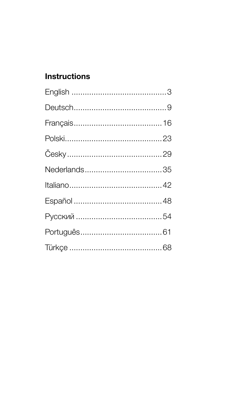#### **Instructions**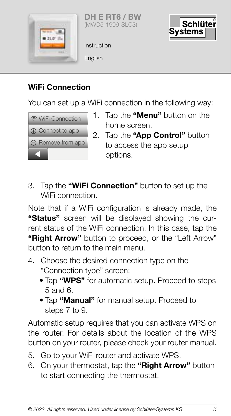<span id="page-2-0"></span>

#### WiFi Connection

You can set up a WiFi connection in the following way:



- 1. Tap the "Menu" button on the home screen.
- 2. Tap the "App Control" button to access the app setup options.
- 3. Tap the "WiFi Connection" button to set up the WiFi connection.

Note that if a WiFi configuration is already made, the "Status" screen will be displayed showing the current status of the WiFi connection. In this case, tap the "Right Arrow" button to proceed, or the "Left Arrow" button to return to the main menu.

- 4. Choose the desired connection type on the "Connection type" screen:
	- Tap "WPS" for automatic setup. Proceed to steps 5 and 6.
	- Tap "Manual" for manual setup. Proceed to steps 7 to 9.

Automatic setup requires that you can activate WPS on the router. For details about the location of the WPS button on your router, please check your router manual.

- 5. Go to your WiFi router and activate WPS.
- 6. On your thermostat, tap the "Right Arrow" button to start connecting the thermostat.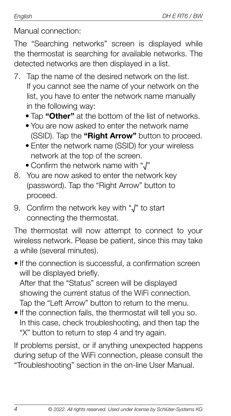Manual connection:

The "Searching networks" screen is displayed while the thermostat is searching for available networks. The detected networks are then displayed in a list.

- 7. Tap the name of the desired network on the list. If you cannot see the name of your network on the list, you have to enter the network name manually in the following way:
	- Tap "Other" at the bottom of the list of networks.
	- You are now asked to enter the network name (SSID). Tap the "Right Arrow" button to proceed.
	- Enter the network name (SSID) for your wireless network at the top of the screen.
	- Confirm the network name with "√"
- 8. You are now asked to enter the network key (password). Tap the "Right Arrow" button to proceed.
- 9. Confirm the network key with "√" to start connecting the thermostat.

The thermostat will now attempt to connect to your wireless network. Please be patient, since this may take a while (several minutes).

• If the connection is successful, a confirmation screen will be displayed briefly.

After that the "Status" screen will be displayed showing the current status of the WiFi connection. Tap the "Left Arrow" button to return to the menu.

• If the connection fails, the thermostat will tell you so. In this case, check troubleshooting, and then tap the "X" button to return to step 4 and try again.

If problems persist, or if anything unexpected happens during setup of the WiFi connection, please consult the "Troubleshooting" section in the on-line User Manual.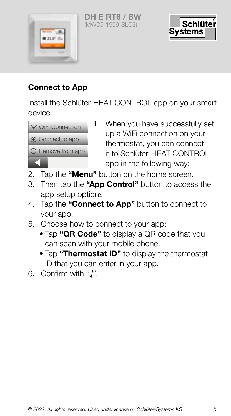





#### Connect to App

Install the Schlüter-HEAT-CONTROL app on your smart device.



- 1. When you have successfully set up a WiFi connection on your thermostat, you can connect it to Schlüter-HEAT-CONTROL app in the following way:
- 2. Tap the "Menu" button on the home screen.
- 3. Then tap the "App Control" button to access the app setup options.
- 4. Tap the "Connect to App" button to connect to your app.
- 5. Choose how to connect to your app:
	- Tap "QR Code" to display a QR code that you can scan with your mobile phone.
	- Tap "Thermostat ID" to display the thermostat ID that you can enter in your app.
- 6. Confirm with "√".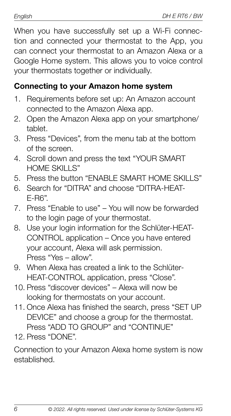When you have successfully set up a Wi-Fi connection and connected your thermostat to the App, you can connect your thermostat to an Amazon Alexa or a Google Home system. This allows you to voice control your thermostats together or individually.

## Connecting to your Amazon home system

- 1. Requirements before set up: An Amazon account connected to the Amazon Alexa app.
- 2. Open the Amazon Alexa app on your smartphone/ tablet.
- 3. Press "Devices", from the menu tab at the bottom of the screen.
- 4. Scroll down and press the text "YOUR SMART HOME SKILLS"
- 5. Press the button "ENABLE SMART HOME SKILLS"
- 6. Search for "DITRA" and choose "DITRA-HEAT-E-R6".
- 7. Press "Enable to use" You will now be forwarded to the login page of your thermostat.
- 8. Use your login information for the Schlüter-HEAT-CONTROL application – Once you have entered your account, Alexa will ask permission. Press "Yes – allow".
- 9. When Alexa has created a link to the Schlüter-HEAT-CONTROL application, press "Close".
- 10. Press "discover devices" Alexa will now be looking for thermostats on your account.
- 11. Once Alexa has finished the search, press "SET UP DEVICE" and choose a group for the thermostat. Press "ADD TO GROUP" and "CONTINUE"
- 12. Press "DONE".

Connection to your Amazon Alexa home system is now established.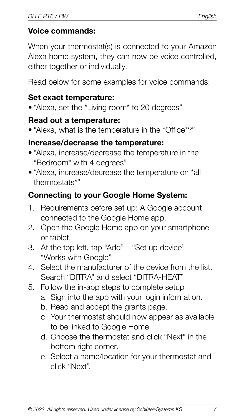#### Voice commands:

When your thermostat(s) is connected to your Amazon Alexa home system, they can now be voice controlled, either together or individually.

Read below for some examples for voice commands:

#### Set exact temperature:

• "Alexa, set the \*Living room\* to 20 degrees"

#### Read out a temperature:

• "Alexa, what is the temperature in the \*Office\*?"

#### Increase/decrease the temperature:

- "Alexa, increase/decrease the temperature in the \*Bedroom\* with 4 degrees"
- "Alexa, increase/decrease the temperature on \*all thermostats\*"

## Connecting to your Google Home System:

- 1. Requirements before set up: A Google account connected to the Google Home app.
- 2. Open the Google Home app on your smartphone or tablet.
- 3. At the top left, tap "Add" "Set up device" "Works with Google"
- 4. Select the manufacturer of the device from the list. Search "DITRA" and select "DITRA-HEAT"
- 5. Follow the in-app steps to complete setup
	- a. Sign into the app with your login information.
	- b. Read and accept the grants page.
	- c. Your thermostat should now appear as available to be linked to Google Home.
	- d. Choose the thermostat and click "Next" in the bottom right corner.
	- e. Select a name/location for your thermostat and click "Next".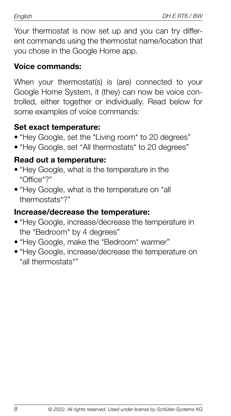Your thermostat is now set up and you can try different commands using the thermostat name/location that you chose in the Google Home app.

#### Voice commands:

When your thermostat(s) is (are) connected to your Google Home System, it (they) can now be voice controlled, either together or individually. Read below for some examples of voice commands:

#### Set exact temperature:

- "Hey Google, set the \*Living room\* to 20 degrees"
- "Hey Google, set \*All thermostats\* to 20 degrees"

#### Read out a temperature:

- "Hey Google, what is the temperature in the \*Office\*?"
- "Hey Google, what is the temperature on \*all thermostats\*?"

#### Increase/decrease the temperature:

- "Hey Google, increase/decrease the temperature in the \*Bedroom\* by 4 degrees"
- "Hey Google, make the \*Bedroom\* warmer"
- "Hey Google, increase/decrease the temperature on \*all thermostats\*"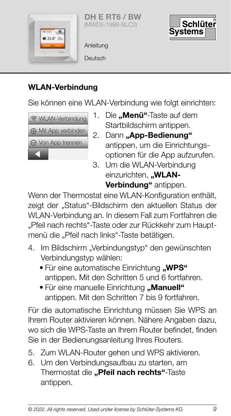<span id="page-8-0"></span>



Anleitung

DH E RT6 / BW (MWD5-1999-SLC3)

Deutsch

## WLAN-Verbindung

Sie können eine WLAN-Verbindung wie folgt einrichten:



- 1. Die "Menü"-Taste auf dem Startbildschirm antippen.
- 2. Dann "App-Bedienung" antippen, um die Einrichtungsoptionen für die App aufzurufen.
- 3. Um die WLAN-Verbindung einzurichten, "WLAN-Verbindung" antippen.

Wenn der Thermostat eine WLAN-Konfiguration enthält, zeigt der "Status"-Bildschirm den aktuellen Status der WLAN-Verbindung an. In diesem Fall zum Fortfahren die "Pfeil nach rechts"-Taste oder zur Rückkehr zum Hauptmenü die "Pfeil nach links"-Taste betätigen.

- 4. Im Bildschirm "Verbindungstyp" den gewünschten Verbindungstyp wählen:
	- Für eine automatische Einrichtung "WPS" antippen. Mit den Schritten 5 und 6 fortfahren.
	- Für eine manuelle Einrichtung "Manuell" antippen. Mit den Schritten 7 bis 9 fortfahren.

Für die automatische Einrichtung müssen Sie WPS an Ihrem Router aktivieren können. Nähere Angaben dazu, wo sich die WPS-Taste an Ihrem Router befindet, finden Sie in der Bedienungsanleitung Ihres Routers.

- 5. Zum WLAN-Router gehen und WPS aktivieren.
- 6. Um den Verbindungsaufbau zu starten, am Thermostat die .. Pfeil nach rechts"-Taste antippen.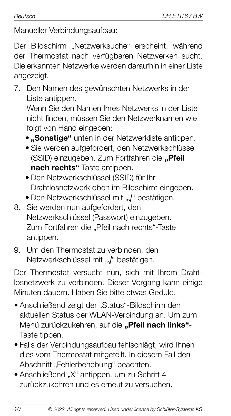Manueller Verbindungsaufbau:

Der Bildschirm "Netzwerksuche" erscheint, während der Thermostat nach verfügbaren Netzwerken sucht. Die erkannten Netzwerke werden daraufhin in einer Liste angezeigt.

7. Den Namen des gewünschten Netzwerks in der Liste antippen.

Wenn Sie den Namen Ihres Netzwerks in der Liste nicht finden, müssen Sie den Netzwerknamen wie folgt von Hand eingeben:

- "Sonstige" unten in der Netzwerkliste antippen.
- Sie werden aufgefordert, den Netzwerkschlüssel (SSID) einzugeben. Zum Fortfahren die "Pfeil nach rechts"-Taste antippen.
- Den Netzwerkschlüssel (SSID) für Ihr Drahtlosnetzwerk oben im Bildschirm eingeben.
- Den Netzwerkschlüssel mit "√" bestätigen.
- 8. Sie werden nun aufgefordert, den Netzwerkschlüssel (Passwort) einzugeben. Zum Fortfahren die "Pfeil nach rechts"-Taste antinnen.
- 9. Um den Thermostat zu verbinden, den Netzwerkschlüssel mit "√" bestätigen.

Der Thermostat versucht nun, sich mit Ihrem Drahtlosnetzwerk zu verbinden. Dieser Vorgang kann einige Minuten dauern. Haben Sie bitte etwas Geduld.

- Anschließend zeigt der "Status"-Bildschirm den aktuellen Status der WLAN-Verbindung an. Um zum Menü zurückzukehren, auf die "Pfeil nach links"-Taste tippen.
- Falls der Verbindungsaufbau fehlschlägt, wird Ihnen dies vom Thermostat mitgeteilt. In diesem Fall den Abschnitt "Fehlerbehebung" beachten.
- Anschließend "X" antippen, um zu Schritt 4 zurückzukehren und es erneut zu versuchen.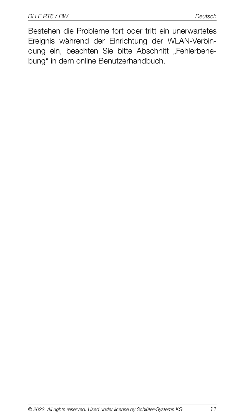Bestehen die Probleme fort oder tritt ein unerwartetes Ereignis während der Einrichtung der WLAN-Verbindung ein, beachten Sie bitte Abschnitt "Fehlerbehebung" in dem online Benutzerhandbuch.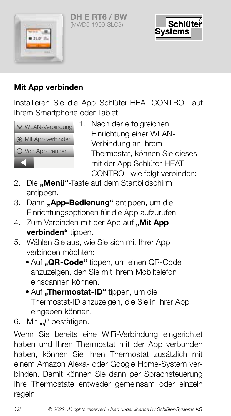

DH E RT6 / BW (MWD5-1999-SLC3)



## Mit App verbinden

Installieren Sie die App Schlüter-HEAT-CONTROL auf Ihrem Smartphone oder Tablet.



- 1. Nach der erfolgreichen Einrichtung einer WLAN-Verbindung an Ihrem Thermostat, können Sie dieses mit der App Schlüter-HEAT-CONTROL wie folgt verbinden:
- 2. Die **"Menü"**-Taste auf dem Startbildschirm antippen.
- 3. Dann "App-Bedienung" antippen, um die Einrichtungsoptionen für die App aufzurufen.
- 4. Zum Verbinden mit der App auf .. Mit App verbinden" tippen.
- 5. Wählen Sie aus, wie Sie sich mit Ihrer App verbinden möchten:
	- Auf ..QR-Code" tippen, um einen QR-Code anzuzeigen, den Sie mit Ihrem Mobiltelefon einscannen können.
	- Auf "Thermostat-ID" tippen, um die Thermostat-ID anzuzeigen, die Sie in Ihrer App eingeben können.
- 6. Mit "√" bestätigen.

Wenn Sie bereits eine WiFi-Verbindung eingerichtet haben und Ihren Thermostat mit der App verbunden haben, können Sie Ihren Thermostat zusätzlich mit einem Amazon Alexa- oder Google Home-System verbinden. Damit können Sie dann per Sprachsteuerung Ihre Thermostate entweder gemeinsam oder einzeln regeln.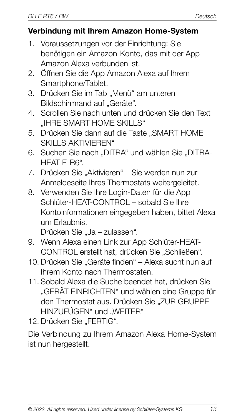#### Verbindung mit Ihrem Amazon Home-System

- 1. Voraussetzungen vor der Einrichtung: Sie benötigen ein Amazon-Konto, das mit der App Amazon Alexa verbunden ist.
- 2. Öffnen Sie die App Amazon Alexa auf Ihrem Smartphone/Tablet.
- 3. Drücken Sie im Tab "Menü" am unteren Bildschirmrand auf ..Geräte".
- 4. Scrollen Sie nach unten und drücken Sie den Text "IHRE SMART HOME SKILLS"
- 5. Drücken Sie dann auf die Taste "SMART HOME SKILLS AKTIVIEREN"
- 6. Suchen Sie nach "DITRA" und wählen Sie "DITRA-HEAT-E-R6".
- 7. Drücken Sie "Aktivieren" Sie werden nun zur Anmeldeseite Ihres Thermostats weitergeleitet.
- 8. Verwenden Sie Ihre Login-Daten für die App Schlüter-HEAT-CONTROL – sobald Sie Ihre Kontoinformationen eingegeben haben, bittet Alexa um Erlaubnis.

Drücken Sie "Ja – zulassen".

- 9. Wenn Alexa einen Link zur App Schlüter-HEAT-CONTROL erstellt hat, drücken Sie "Schließen".
- 10. Drücken Sie "Geräte finden" Alexa sucht nun auf Ihrem Konto nach Thermostaten.
- 11. Sobald Alexa die Suche beendet hat, drücken Sie "GERÄT EINRICHTEN" und wählen eine Gruppe für den Thermostat aus. Drücken Sie "ZUR GRUPPE HINZUFÜGEN" und "WEITER"
- 12. Drücken Sie "FERTIG".

Die Verbindung zu Ihrem Amazon Alexa Home-System ist nun hergestellt.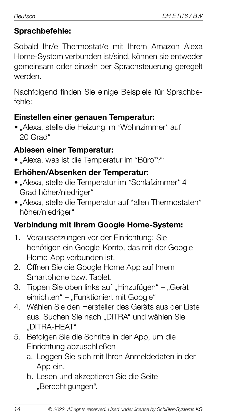# Sprachbefehle:

Sobald Ihr/e Thermostat/e mit Ihrem Amazon Alexa Home-System verbunden ist/sind, können sie entweder gemeinsam oder einzeln per Sprachsteuerung geregelt werden.

Nachfolgend finden Sie einige Beispiele für Sprachbefehle:

# Einstellen einer genauen Temperatur:

• "Alexa, stelle die Heizung im \*Wohnzimmer\* auf 20 Grad"

# Ablesen einer Temperatur:

• "Alexa, was ist die Temperatur im \*Büro\*?"

# Erhöhen/Absenken der Temperatur:

- "Alexa, stelle die Temperatur im \*Schlafzimmer\* 4 Grad höher/niedriger"
- "Alexa, stelle die Temperatur auf \*allen Thermostaten\* höher/niedriger"

# Verbindung mit Ihrem Google Home-System:

- 1. Voraussetzungen vor der Einrichtung: Sie benötigen ein Google-Konto, das mit der Google Home-App verbunden ist.
- 2. Öffnen Sie die Google Home App auf Ihrem Smartphone bzw. Tablet.
- 3. Tippen Sie oben links auf "Hinzufügen" "Gerät einrichten" – "Funktioniert mit Google"
- 4. Wählen Sie den Hersteller des Geräts aus der Liste aus. Suchen Sie nach "DITRA" und wählen Sie "DITRA-HEAT"
- 5. Befolgen Sie die Schritte in der App, um die Einrichtung abzuschließen
	- a. Loggen Sie sich mit Ihren Anmeldedaten in der App ein.
	- b. Lesen und akzeptieren Sie die Seite "Berechtigungen".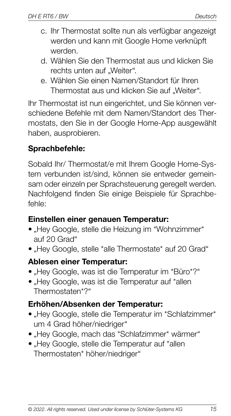- c. Ihr Thermostat sollte nun als verfügbar angezeigt werden und kann mit Google Home verknüpft werden.
- d. Wählen Sie den Thermostat aus und klicken Sie rechts unten auf "Weiter".
- e. Wählen Sie einen Namen/Standort für Ihren Thermostat aus und klicken Sie auf "Weiter".

Ihr Thermostat ist nun eingerichtet, und Sie können verschiedene Befehle mit dem Namen/Standort des Thermostats, den Sie in der Google Home-App ausgewählt haben, ausprobieren.

## Sprachbefehle:

Sobald Ihr/ Thermostat/e mit Ihrem Google Home-System verbunden ist/sind, können sie entweder gemeinsam oder einzeln per Sprachsteuerung geregelt werden. Nachfolgend finden Sie einige Beispiele für Sprachbefehle:

#### Einstellen einer genauen Temperatur:

- "Hey Google, stelle die Heizung im \*Wohnzimmer\* auf 20 Grad"
- "Hey Google, stelle \*alle Thermostate\* auf 20 Grad"

#### Ablesen einer Temperatur:

- "Hey Google, was ist die Temperatur im \*Büro\*?"
- "Hey Google, was ist die Temperatur auf \*allen Thermostaten\*?"

#### Erhöhen/Absenken der Temperatur:

- "Hey Google, stelle die Temperatur im \*Schlafzimmer\* um 4 Grad höher/niedriger"
- "Hey Google, mach das \*Schlafzimmer\* wärmer"
- "Hey Google, stelle die Temperatur auf \*allen Thermostaten\* höher/niedriger"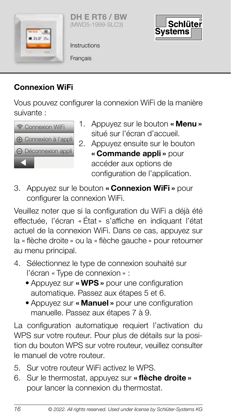<span id="page-15-0"></span>

DH E RT6 / BW (MWD5-1999-SLC3)



**Francais** 



#### Connexion WiFi

Vous pouvez configurer la connexion WiFi de la manière suivante :



- 1. Appuyez sur le bouton « Menu » situé sur l'écran d'accueil.
- 2. Appuyez ensuite sur le bouton « Commande appli » pour accéder aux options de configuration de l'application.
- 3. Appuyez sur le bouton « Connexion WiFi » pour configurer la connexion WiFi.

Veuillez noter que si la configuration du WiFi a déjà été effectuée, l'écran « État » s'affiche en indiquant l'état actuel de la connexion WiFi. Dans ce cas, appuyez sur la « flèche droite » ou la « flèche gauche » pour retourner au menu principal.

- 4. Sélectionnez le type de connexion souhaité sur l'écran « Type de connexion » :
	- Appuyez sur « **WPS** » pour une configuration automatique. Passez aux étapes 5 et 6.
	- Appuyez sur « **Manuel** » pour une configuration manuelle. Passez aux étapes 7 à 9.

La configuration automatique requiert l'activation du WPS sur votre routeur. Pour plus de détails sur la position du bouton WPS sur votre routeur, veuillez consulter le manuel de votre routeur.

- 5. Sur votre routeur WiFi activez le WPS.
- 6. Sur le thermostat, appuyez sur « flèche droite » pour lancer la connexion du thermostat.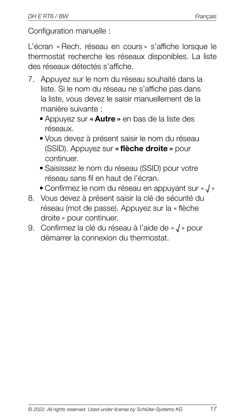Configuration manuelle :

L'écran « Rech. réseau en cours » s'affiche lorsque le thermostat recherche les réseaux disponibles. La liste des réseaux détectés s'affiche.

- 7. Appuyez sur le nom du réseau souhaité dans la liste. Si le nom du réseau ne s'affiche pas dans la liste, vous devez le saisir manuellement de la manière suivante :
	- Appuyez sur « Autre » en bas de la liste des réseaux.
	- Vous devez à présent saisir le nom du réseau (SSID). Appuyez sur « flèche droite » pour continuer.
	- Saisissez le nom du réseau (SSID) pour votre réseau sans fil en haut de l'écran.
	- Confirmez le nom du réseau en appuyant sur « √ »
- 8. Vous devez à présent saisir la clé de sécurité du réseau (mot de passe). Appuyez sur la « flèche droite » pour continuer.
- 9. Confirmez la clé du réseau à l'aide de « √ » pour démarrer la connexion du thermostat.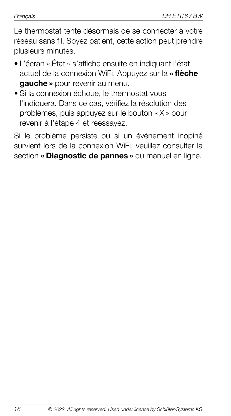Le thermostat tente désormais de se connecter à votre réseau sans fil. Soyez patient, cette action peut prendre plusieurs minutes.

- L'écran « État » s'affiche ensuite en indiquant l'état actuel de la connexion WiFi. Appuyez sur la « flèche gauche » pour revenir au menu.
- Si la connexion échoue, le thermostat vous l'indiquera. Dans ce cas, vérifiez la résolution des problèmes, puis appuyez sur le bouton « X » pour revenir à l'étape 4 et réessayez.

Si le problème persiste ou si un événement inopiné survient lors de la connexion WiFi, veuillez consulter la section « **Diagnostic de pannes** » du manuel en ligne.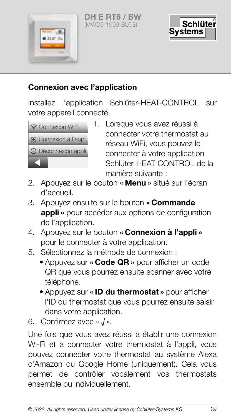





#### Connexion avec l'application

Installez l'application Schlüter-HEAT-CONTROL sur votre appareil connecté.



- 1. Lorsque vous avez réussi à connecter votre thermostat au réseau WiFi, vous pouvez le connecter à votre application Schlüter-HEAT-CONTROL de la manière suivante :
- 2. Appuyez sur le bouton « Menu » situé sur l'écran d'accueil.
- 3. Appuyez ensuite sur le bouton « Commande appli » pour accéder aux options de configuration de l'application.
- 4. Appuyez sur le bouton « **Connexion à l'appli** » pour le connecter à votre application.
- 5. Sélectionnez la méthode de connexion :
	- Appuyez sur « Code QR » pour afficher un code QR que vous pourrez ensuite scanner avec votre téléphone.
	- Appuyez sur « ID du thermostat » pour afficher l'ID du thermostat que vous pourrez ensuite saisir dans votre application.
- 6. Confirmez avec « √ ».

Une fois que vous avez réussi à établir une connexion Wi-Fi et à connecter votre thermostat à l'appli, vous pouvez connecter votre thermostat au système Alexa d'Amazon ou Google Home (uniquement). Cela vous permet de contrôler vocalement vos thermostats ensemble ou individuellement.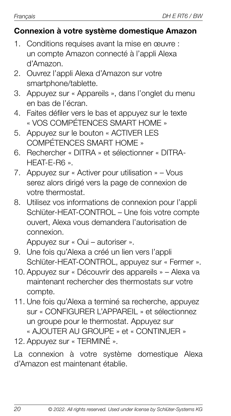#### Connexion à votre système domestique Amazon

- 1. Conditions requises avant la mise en œuvre : un compte Amazon connecté à l'appli Alexa d'Amazon.
- 2. Ouvrez l'appli Alexa d'Amazon sur votre smartphone/tablette.
- 3. Appuyez sur « Appareils », dans l'onglet du menu en bas de l'écran.
- 4. Faites défiler vers le bas et appuyez sur le texte « VOS COMPÉTENCES SMART HOME »
- 5. Appuyez sur le bouton « ACTIVER LES COMPÉTENCES SMART HOME »
- 6. Rechercher « DITRA » et sélectionner « DITRA-HEAT-E-R6 ».
- 7. Appuyez sur « Activer pour utilisation » Vous serez alors dirigé vers la page de connexion de votre thermostat.
- 8. Utilisez vos informations de connexion pour l'appli Schlüter-HEAT-CONTROL – Une fois votre compte ouvert, Alexa vous demandera l'autorisation de connexion.

Appuyez sur « Oui – autoriser ».

- 9. Une fois qu'Alexa a créé un lien vers l'appli Schlüter-HEAT-CONTROL, appuyez sur « Fermer ».
- 10. Appuyez sur « Découvrir des appareils » Alexa va maintenant rechercher des thermostats sur votre compte.
- 11. Une fois qu'Alexa a terminé sa recherche, appuyez sur « CONFIGURER L'APPAREIL » et sélectionnez un groupe pour le thermostat. Appuyez sur « AJOUTER AU GROUPE » et « CONTINUER »
- 12. Appuyez sur « TERMINÉ ».

La connexion à votre système domestique Alexa d'Amazon est maintenant établie.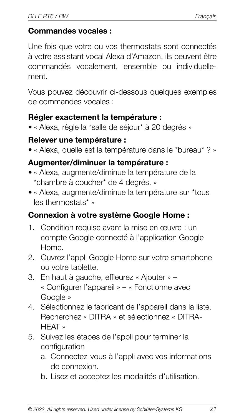#### Commandes vocales :

Une fois que votre ou vos thermostats sont connectés à votre assistant vocal Alexa d'Amazon, ils peuvent être commandés vocalement, ensemble ou individuellement.

Vous pouvez découvrir ci-dessous quelques exemples de commandes vocales :

#### Régler exactement la température :

• « Alexa, règle la \*salle de séjour\* à 20 degrés »

#### Relever une température :

• « Alexa, quelle est la température dans le \*bureau\* ? »

#### Augmenter/diminuer la température :

- « Alexa, augmente/diminue la température de la \*chambre à coucher\* de 4 degrés. »
- « Alexa, augmente/diminue la température sur \*tous les thermostats\* »

#### Connexion à votre système Google Home :

- 1. Condition requise avant la mise en œuvre : un compte Google connecté à l'application Google Home.
- 2. Ouvrez l'appli Google Home sur votre smartphone ou votre tablette.
- 3. En haut à gauche, effleurez « Ajouter » « Configurer l'appareil » – « Fonctionne avec Google »
- 4. Sélectionnez le fabricant de l'appareil dans la liste. Recherchez « DITRA » et sélectionnez « DITRA-HEAT »
- 5. Suivez les étapes de l'appli pour terminer la configuration
	- a. Connectez-vous à l'appli avec vos informations de connexion.
	- b. Lisez et acceptez les modalités d'utilisation.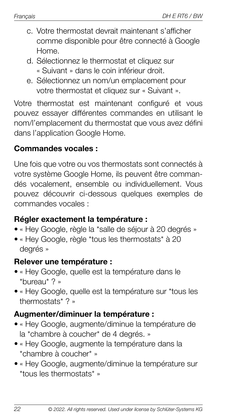- c. Votre thermostat devrait maintenant s'afficher comme disponible pour être connecté à Google Home.
- d. Sélectionnez le thermostat et cliquez sur « Suivant » dans le coin inférieur droit.
- e. Sélectionnez un nom/un emplacement pour votre thermostat et cliquez sur « Suivant ».

Votre thermostat est maintenant configuré et vous pouvez essayer différentes commandes en utilisant le nom/l'emplacement du thermostat que vous avez défini dans l'application Google Home.

#### Commandes vocales :

Une fois que votre ou vos thermostats sont connectés à votre système Google Home, ils peuvent être commandés vocalement, ensemble ou individuellement. Vous pouvez découvrir ci-dessous quelques exemples de commandes vocales :

#### Régler exactement la température :

- « Hey Google, règle la \*salle de séjour à 20 degrés »
- « Hey Google, règle \*tous les thermostats\* à 20 degrés »

#### Relever une température :

- « Hey Google, quelle est la température dans le \*bureau\* ? »
- « Hey Google, quelle est la température sur \*tous les thermostats\* ? »

## Augmenter/diminuer la température :

- « Hey Google, augmente/diminue la température de la \*chambre à coucher\* de 4 degrés. »
- « Hey Google, augmente la température dans la \*chambre à coucher\* »
- « Hey Google, augmente/diminue la température sur \*tous les thermostats\* »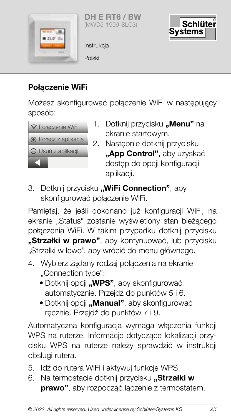<span id="page-22-0"></span>





Instrukcja

Polski

## Połączenie WiFi

Możesz skonfigurować połączenie WiFi w następujący sposób:



- 1. Dotknij przycisku "Menu" na ekranie startowym.
- 2. Następnie dotknij przycisku .. App Control", aby uzyskać dostep do opcii konfiguracji aplikacji.
- 3. Dotknij przycisku "WiFi Connection", aby skonfigurować połączenie WiFi.

Pamiętaj, że jeśli dokonano już konfiguracji WiFi, na ekranie "Status" zostanie wyświetlony stan bieżącego połączenia WiFi. W takim przypadku dotknij przycisku "Strzałki w prawo", aby kontynuować, lub przycisku "Strzałki w lewo", aby wrócić do menu głównego.

- 4. Wybierz żądany rodzaj połączenia na ekranie "Connection type":
	- Dotknij opcij "WPS", aby skonfigurować automatycznie. Przejdź do punktów 5 i 6.
	- Dotknij opcji "Manual", aby skonfigurować ręcznie. Przejdź do punktów 7 i 9.

Automatyczna konfiguracja wymaga włączenia funkcji WPS na ruterze. Informacje dotyczące lokalizacji przycisku WPS na ruterze należy sprawdzić w instrukcji obsługi rutera.

- 5. Idź do rutera WiFi i aktywuj funkcję WPS.
- 6. Na termostacie dotknij przycisku "Strzałki w **prawo**", aby rozpocząć łączenie z termostatem.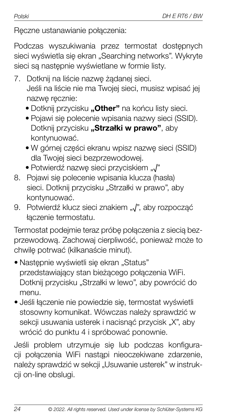Ręczne ustanawianie połączenia:

Podczas wyszukiwania przez termostat dostępnych sieci wyświetla się ekran "Searching networks". Wykryte sieci są następnie wyświetlane w formie listy.

- 7. Dotknij na liście nazwę żądanej sieci. Jeśli na liście nie ma Twojej sieci, musisz wpisać jej nazwę ręcznie:
	- Dotknij przycisku "Other" na końcu listy sieci.
	- Pojawi się polecenie wpisania nazwy sieci (SSID). Dotknij przycisku "Strzałki w prawo", aby kontynuować.
	- W górnej części ekranu wpisz nazwę sieci (SSID) dla Twojej sieci bezprzewodowej.
	- Potwierdź nazwę sieci przyciskiem "√"
- 8. Pojawi się polecenie wpisania klucza (hasła) sieci. Dotknij przycisku "Strzałki w prawo", aby kontynuować.
- 9. Potwierdź klucz sieci znakiem "√", aby rozpocząć łączenie termostatu.

Termostat podejmie teraz próbę połączenia z siecią bezprzewodową. Zachowaj cierpliwość, ponieważ może to chwilę potrwać (kilkanaście minut).

- Nastepnie wyświetli się ekran "Status" przedstawiający stan bieżącego połączenia WiFi. Dotknij przycisku "Strzałki w lewo", aby powrócić do menu.
- Jeśli łączenie nie powiedzie się, termostat wyświetli stosowny komunikat. Wówczas należy sprawdzić w sekcji usuwania usterek i nacisnąć przycisk "X", aby wrócić do punktu 4 i spróbować ponownie.

Jeśli problem utrzymuje się lub podczas konfiguracji połączenia WiFi nastąpi nieoczekiwane zdarzenie, należy sprawdzić w sekcji "Usuwanie usterek" w instrukcji on-line obslugi.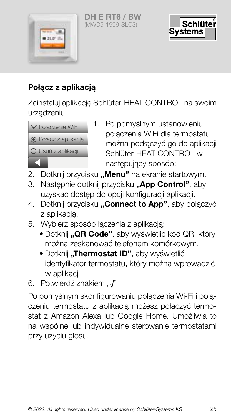



## Połącz z aplikacją

Zainstaluj aplikację Schlüter-HEAT-CONTROL na swoim urządzeniu.

DH E RT6 / BW (MWD5-1999-SLC3)



- 1. Po pomyślnym ustanowieniu połączenia WiFi dla termostatu można podłączyć go do aplikacji Schlüter-HEAT-CONTROL w następujący sposób:
- 2. Dotknij przycisku "Menu" na ekranie startowym.
- 3. Nastepnie dotknij przycisku "App Control", aby uzyskać dostęp do opcji konfiguracji aplikacji.
- 4. Dotknij przycisku "Connect to App", aby połączyć z aplikacia.
- 5. Wybierz sposób łączenia z aplikacją:
	- Dotknij "QR Code", aby wyświetlić kod QR, który można zeskanować telefonem komórkowym.
	- Dotknij "Thermostat ID", aby wyświetlić identyfikator termostatu, który można wprowadzić w aplikacii.
- 6. Potwierdź znakiem "√".

Po pomyślnym skonfigurowaniu połączenia Wi-Fi i połączeniu termostatu z aplikacia możesz połączyć termostat z Amazon Alexa lub Google Home. Umożliwia to na wspólne lub indywidualne sterowanie termostatami przy użyciu głosu.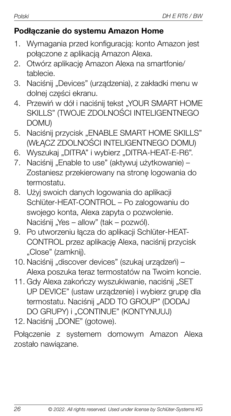## Podłączanie do systemu Amazon Home

- 1. Wymagania przed konfiguracia: konto Amazon jest połączone z aplikacją Amazon Alexa.
- 2. Otwórz aplikację Amazon Alexa na smartfonie/ tablecie.
- 3. Naciśnij "Devices" (urządzenia), z zakładki menu w dolnej części ekranu.
- 4. Przewiń w dół i naciśnij tekst "YOUR SMART HOME SKILLS" (TWOJE ZDOLNOŚCI INTELIGENTNEGO DOMU)
- 5. Naciśnii przycisk "ENABLE SMART HOME SKILLS" (WŁĄCZ ZDOLNOŚCI INTELIGENTNEGO DOMU)
- 6. Wyszukaj "DITRA" i wybierz "DITRA-HEAT-E-R6".
- 7. Naciśnii "Enable to use" (aktywuj użytkowanie) Zostaniesz przekierowany na stronę logowania do termostatu.
- 8. Użyj swoich danych logowania do aplikacji Schlüter-HEAT-CONTROL – Po zalogowaniu do swojego konta, Alexa zapyta o pozwolenie. Naciśnii "Yes – allow" (tak – pozwól).
- 9. Po utworzeniu łącza do aplikacji Schlüter-HEAT-CONTROL przez aplikację Alexa, naciśnij przycisk "Close" (zamknij).
- 10. Naciśnij "discover devices" (szukaj urządzeń) Alexa poszuka teraz termostatów na Twoim koncie.
- 11. Gdy Alexa zakończy wyszukiwanie, naciśnij "SET UP DEVICE" (ustaw urządzenie) i wybierz grupę dla termostatu. Naciśnij "ADD TO GROUP" (DODAJ DO GRUPY) i "CONTINUE" (KONTYNUUJ)
- 12. Naciśnij "DONE" (gotowe).

Połączenie z systemem domowym Amazon Alexa zostało nawiazane.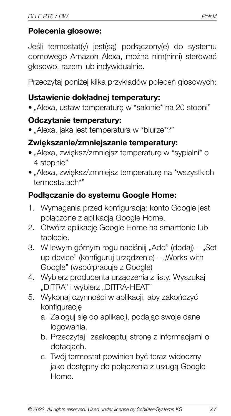## Polecenia głosowe:

Jeśli termostat(y) jest(są) podłączony(e) do systemu domowego Amazon Alexa, można nim(nimi) sterować głosowo, razem lub indywidualnie.

Przeczytaj poniżej kilka przykładów poleceń głosowych:

#### Ustawienie dokładnej temperatury:

• "Alexa, ustaw temperature w \*salonie\* na 20 stopni"

#### Odczytanie temperatury:

• "Alexa, jaka jest temperatura w \*biurze\*?"

## Zwiekszanie/zmniejszanie temperatury:

- "Alexa, zwiększ/zmniejsz temperaturę w \*sypialni\* o 4 stopnie"
- "Alexa, zwiększ/zmniejsz temperaturę na \*wszystkich termostatach\*"

## Podłączanie do systemu Google Home:

- 1. Wymagania przed konfiguracją: konto Google jest połączone z aplikacją Google Home.
- 2. Otwórz aplikację Google Home na smartfonie lub tablecie.
- 3. W lewym górnym rogu naciśniii "Add" (dodai) "Set up device" (konfiguruj urządzenie) – "Works with Google" (współpracuje z Google)
- 4. Wybierz producenta urządzenia z listy. Wyszukaj "DITRA" i wybierz "DITRA-HEAT"
- 5. Wykonaj czynności w aplikacji, aby zakończyć konfiguracie
	- a. Zaloguj się do aplikacji, podając swoje dane logowania.
	- b. Przeczytaj i zaakceptuj stronę z informacjami o dotaciach.
	- c. Twój termostat powinien być teraz widoczny jako dostępny do połączenia z usługą Google Home.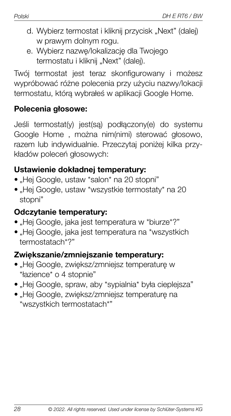- d. Wybierz termostat i kliknij przycisk "Next" (dalej) w prawym dolnym rogu.
- e. Wybierz nazwę/lokalizację dla Twojego termostatu i kliknij "Next" (dalej).

Twój termostat jest teraz skonfigurowany i możesz wypróbować różne polecenia przy użyciu nazwy/lokacji termostatu, którą wybrałeś w aplikacji Google Home.

## Polecenia głosowe:

Jeśli termostat(y) jest(są) podłączony(e) do systemu Google Home , można nim(nimi) sterować głosowo, razem lub indywidualnie. Przeczytaj poniżej kilka przykładów poleceń głosowych:

## Ustawienie dokładnej temperatury:

- Hej Google, ustaw \*salon\* na 20 stopni"
- "Hej Google, ustaw \*wszystkie termostaty\* na 20 stopni"

## Odczytanie temperatury:

- "Hei Google, jaka jest temperatura w \*biurze\*?"
- "Hei Google, jaka jest temperatura na \*wszystkich termostatach\*?"

## Zwiększanie/zmniejszanie temperatury:

- "Hej Google, zwiększ/zmniejsz temperaturę w \*łazience\* o 4 stopnie"
- "Hej Google, spraw, aby \*sypialnia\* była cieplejsza"
- "Hej Google, zwiększ/zmniejsz temperature na \*wszystkich termostatach\*"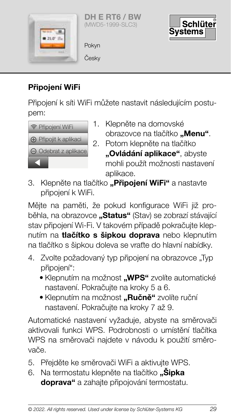<span id="page-28-0"></span>





Pokyn

Česky

## Připojení WiFi

Připojení k síti WiFi můžete nastavit následujícím postupem:



- 1. Klepněte na domovské obrazovce na tlačítko "Menu".
- 2. Potom klepněte na tlačítko "Ovládání aplikace", abyste mohli použít možnosti nastavení aplikace.
- 3. Klepněte na tlačítko "Připojení WiFi" a nastavte připojení k WiFi.

Mějte na paměti, že pokud konfigurace WiFi již proběhla, na obrazovce "Status" (Stav) se zobrazí stávající stav připojení Wi-Fi. V takovém případě pokračujte klepnutím na tlačítko s šipkou doprava nebo klepnutím na tlačítko s šipkou doleva se vraťte do hlavní nabídky.

- 4. Zvolte požadovaný typ připojení na obrazovce "Typ připojení":
	- Klepnutím na možnost "WPS" zvolíte automatické nastavení. Pokračujte na kroky 5 a 6.
	- Klepnutím na možnost "Ručně" zvolíte ruční nastavení. Pokračujte na kroky 7 až 9.

Automatické nastavení vyžaduje, abyste na směrovači aktivovali funkci WPS. Podrobnosti o umístění tlačítka WPS na směrovači najdete v návodu k použití směrovače.

- 5. Přejděte ke směrovači WiFi a aktivujte WPS.
- 6. Na termostatu klepněte na tlačítko "Šipka doprava" a zahajte připojování termostatu.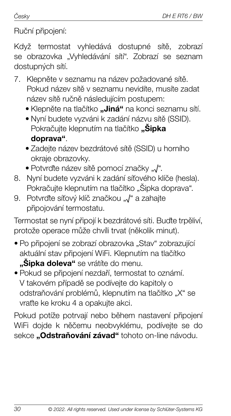Ruční připojení:

Když termostat vyhledává dostupné sítě, zobrazí se obrazovka "Vyhledávání sítí". Zobrazí se seznam dostupných sítí.

- 7. Klepněte v seznamu na název požadované sítě. Pokud název sítě v seznamu nevidíte, musíte zadat název sítě ručně následujícím postupem:
	- Klepněte na tlačítko "Jiná" na konci seznamu sítí.
	- Nyní budete vyzváni k zadání názvu sítě (SSID). Pokračujte klepnutím na tlačítko "Šipka doprava".
	- Zadejte název bezdrátové sítě (SSID) u horního okraje obrazovky.
	- Potvrďte název sítě pomocí značky "√".
- 8. Nyní budete vyzváni k zadání síťového klíče (hesla). Pokračujte klepnutím na tlačítko "Šipka doprava".
- 9. Potvrďte síťový klíč značkou "√" a zahajte připojování termostatu.

Termostat se nyní připojí k bezdrátové síti. Buďte trpěliví, protože operace může chvíli trvat (několik minut).

- Po připojení se zobrazí obrazovka "Stav" zobrazující aktuální stav připojení WiFi. Klepnutím na tlačítko **"Šipka doleva"** se vrátíte do menu.
- Pokud se připojení nezdaří, termostat to oznámí. V takovém případě se podívejte do kapitoly o odstraňování problémů, klepnutím na tlačítko "X" se vraťte ke kroku 4 a opakujte akci.

Pokud potíže potrvají nebo během nastavení připojení WiFi dojde k něčemu neobvyklému, podívejte se do sekce **..Odstraňování závad**" tohoto on-line návodu.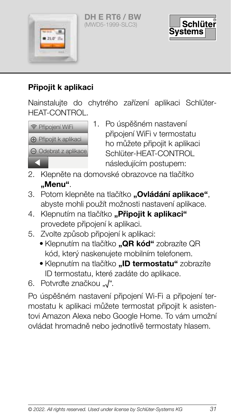



## Připojit k aplikaci

Nainstalujte do chytrého zařízení aplikaci Schlüter-HEAT-CONTROL.

DH E RT6 / BW (MWD5-1999-SLC3)



- 1. Po úspěšném nastavení připojení WiFi v termostatu ho můžete připojit k aplikaci Schlüter-HEAT-CONTROL následujícím postupem:
- 2. Klepněte na domovské obrazovce na tlačítko "Menu".
- 3. Potom klepněte na tlačítko "Ovládání aplikace", abyste mohli použít možnosti nastavení aplikace.
- 4. Klepnutím na tlačítko "Připojit k aplikaci" provedete připojení k aplikaci.
- 5. Zvolte způsob připojení k aplikaci:
	- Klepnutím na tlačítko "QR kód" zobrazíte QR kód, který naskenujete mobilním telefonem.
	- Klepnutím na tlačítko "ID termostatu" zobrazíte ID termostatu, které zadáte do aplikace.
- 6. Potvrďte značkou "√".

Po úspěšném nastavení připojení Wi-Fi a připojení termostatu k aplikaci můžete termostat připojit k asistentovi Amazon Alexa nebo Google Home. To vám umožní ovládat hromadně nebo jednotlivě termostaty hlasem.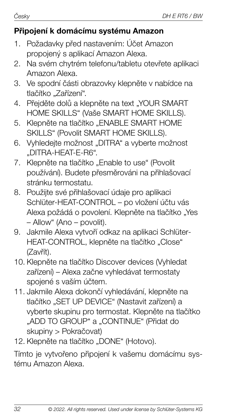# Připojení k domácímu systému Amazon

- 1. Požadavky před nastavením: Účet Amazon propojený s aplikací Amazon Alexa.
- 2. Na svém chytrém telefonu/tabletu otevřete aplikaci Amazon Alexa.
- 3. Ve spodní části obrazovky klepněte v nabídce na tlačítko "Zařízení".
- 4. Přejděte dolů a klepněte na text "YOUR SMART HOME SKILLS" (Vaše SMART HOME SKILLS).
- 5. Klepněte na tlačítko "ENABLE SMART HOME SKILLS" (Povolit SMART HOME SKILLS).
- 6. Vyhledejte možnost "DITRA" a vyberte možnost "DITRA-HEAT-E-R6".
- 7. Klepněte na tlačítko "Enable to use" (Povolit používání). Budete přesměrováni na přihlašovací stránku termostatu.
- 8. Použijte své přihlašovací údaje pro aplikaci Schlüter-HEAT-CONTROL – po vložení účtu vás Alexa požádá o povolení. Klepněte na tlačítko "Yes – Allow" (Ano – povolit).
- 9. Jakmile Alexa vytvoří odkaz na aplikaci Schlüter-HEAT-CONTROL, klepněte na tlačítko "Close" (Zavřít).
- 10. Klepněte na tlačítko Discover devices (Vyhledat zařízení) – Alexa začne vyhledávat termostaty spojené s vaším účtem.
- 11. Jakmile Alexa dokončí vyhledávání, klepněte na tlačítko "SET UP DEVICE" (Nastavit zařízení) a vyberte skupinu pro termostat. Klepněte na tlačítko "ADD TO GROUP" a "CONTINUE" (Přidat do skupiny > Pokračovat)

12. Klepněte na tlačítko "DONE" (Hotovo).

Tímto je vytvořeno připojení k vašemu domácímu systému Amazon Alexa.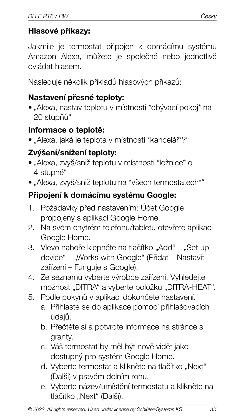Jakmile je termostat připojen k domácímu systému Amazon Alexa, můžete je společně nebo jednotlivě ovládat hlasem.

Následuje několik příkladů hlasových příkazů:

## Nastavení přesné teploty:

• "Alexa, nastav teplotu v místnosti \*obývací pokoj\* na 20 stupňů"

## Informace o teplotě:

• "Alexa, jaká je teplota v místnosti \*kancelář\*?"

## Zvýšení/snížení teploty:

- "Alexa, zvyš/sniž teplotu v místnosti \*ložnice\* o 4 stupně"
- "Alexa, zvyš/sniž teplotu na \*všech termostatech\*"

## Připojení k domácímu systému Google:

- 1. Požadavky před nastavením: Účet Google propojený s aplikací Google Home.
- 2. Na svém chytrém telefonu/tabletu otevřete aplikaci Google Home.
- 3. Vlevo nahoře klepněte na tlačítko "Add" "Set up device" – "Works with Google" (Přidat – Nastavit zařízení – Funguje s Google).
- 4. Ze seznamu vyberte výrobce zařízení. Vyhledejte možnost "DITRA" a vyberte položku "DITRA-HEAT".
- 5. Podle pokynů v aplikaci dokončete nastavení. a. Přihlaste se do aplikace pomocí přihlašovacích
	- údajů.
	- b. Přečtěte si a potvrďte informace na stránce s granty.
	- c. Váš termostat by měl být nově vidět jako dostupný pro systém Google Home.
	- d. Vyberte termostat a klikněte na tlačítko "Next" (Další) v pravém dolním rohu.
	- e. Vyberte název/umístění termostatu a klikněte na tlačítko "Next" (Další).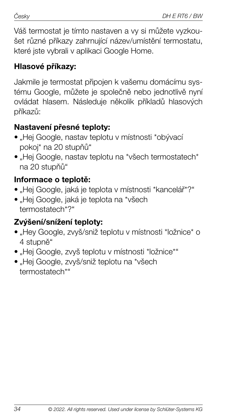Váš termostat je tímto nastaven a vy si můžete vyzkoušet různé příkazy zahrnující název/umístění termostatu, které jste vybrali v aplikaci Google Home.

## Hlasové příkazy:

Jakmile je termostat připojen k vašemu domácímu systému Google, můžete je společně nebo jednotlivě nyní ovládat hlasem. Následuje několik příkladů hlasových příkazů:

# Nastavení přesné teploty:

- "Hej Google, nastav teplotu v místnosti \*obývací pokoj\* na 20 stupňů"
- "Hej Google, nastav teplotu na \*všech termostatech\* na 20 stupňů"

# Informace o teplotě:

- "Hei Google, jaká je teplota v místnosti \*kancelář\*?"
- "Hej Google, jaká je teplota na \*všech termostatech\*?"

# Zvýšení/snížení teploty:

- "Hey Google, zvyš/sniž teplotu v místnosti \*ložnice\* o 4 stupně"
- "Hej Google, zvyš teplotu v místnosti \*ložnice\*"
- "Hej Google, zvyš/sniž teplotu na \*všech termostatech\*"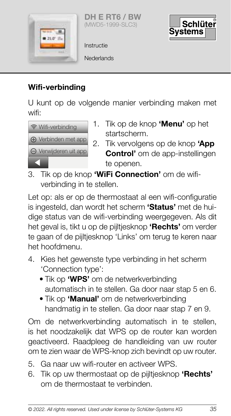<span id="page-34-0"></span>

#### Wifi-verbinding

U kunt op de volgende manier verbinding maken met wifi:



- 1. Tik op de knop 'Menu' op het startscherm.
- 2. Tik vervolgens op de knop 'App Control' om de app-instellingen te openen.
- 3. Tik op de knop 'WiFi Connection' om de wifiverbinding in te stellen.

Let op: als er op de thermostaat al een wifi-configuratie is ingesteld, dan wordt het scherm 'Status' met de huidige status van de wifi-verbinding weergegeven. Als dit het geval is, tikt u op de pijltjesknop 'Rechts' om verder te gaan of de pijltjesknop 'Links' om terug te keren naar het hoofdmenu.

- 4. Kies het gewenste type verbinding in het scherm 'Connection type':
	- Tik op 'WPS' om de netwerkverbinding automatisch in te stellen. Ga door naar stap 5 en 6.
	- Tik op 'Manual' om de netwerkverbinding handmatig in te stellen. Ga door naar stap 7 en 9.

Om de netwerkverbinding automatisch in te stellen, is het noodzakelijk dat WPS op de router kan worden geactiveerd. Raadpleeg de handleiding van uw router om te zien waar de WPS-knop zich bevindt op uw router.

- 5. Ga naar uw wifi-router en activeer WPS.
- 6. Tik op uw thermostaat op de pijltjesknop 'Rechts' om de thermostaat te verbinden.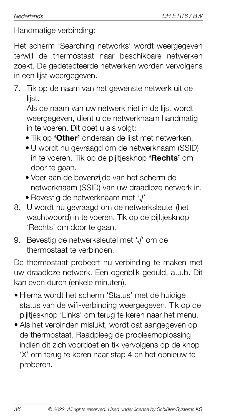Handmatige verbinding:

Het scherm 'Searching networks' wordt weergegeven terwijl de thermostaat naar beschikbare netwerken zoekt. De gedetecteerde netwerken worden vervolgens in een lijst weergegeven.

7. Tik op de naam van het gewenste netwerk uit de lijst.

Als de naam van uw netwerk niet in de lijst wordt weergegeven, dient u de netwerknaam handmatig in te voeren. Dit doet u als volgt:

- Tik op 'Other' onderaan de lijst met netwerken.
- U wordt nu gevraagd om de netwerknaam (SSID) in te voeren. Tik op de pijltjesknop 'Rechts' om door te gaan.
- Voer aan de bovenzijde van het scherm de netwerknaam (SSID) van uw draadloze netwerk in.
- Bevestig de netwerknaam met '√'
- 8. U wordt nu gevraagd om de netwerksleutel (het wachtwoord) in te voeren. Tik op de pijltjesknop 'Rechts' om door te gaan.
- 9. Bevestig de netwerksleutel met '√' om de thermostaat te verbinden.

De thermostaat probeert nu verbinding te maken met uw draadloze netwerk. Een ogenblik geduld, a.u.b. Dit kan even duren (enkele minuten).

- Hierna wordt het scherm 'Status' met de huidige status van de wifi-verbinding weergegeven. Tik op de pijltjesknop 'Links' om terug te keren naar het menu.
- Als het verbinden mislukt, wordt dat aangegeven op de thermostaat. Raadpleeg de probleemoplossing indien dit zich voordoet en tik vervolgens op de knop 'X' om terug te keren naar stap 4 en het opnieuw te proberen.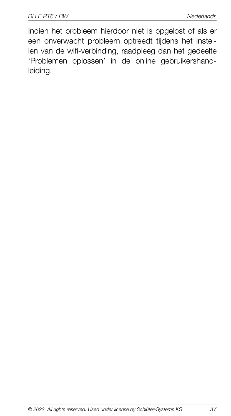Indien het probleem hierdoor niet is opgelost of als er een onverwacht probleem optreedt tijdens het instellen van de wifi-verbinding, raadpleeg dan het gedeelte 'Problemen oplossen' in de online gebruikershandleiding.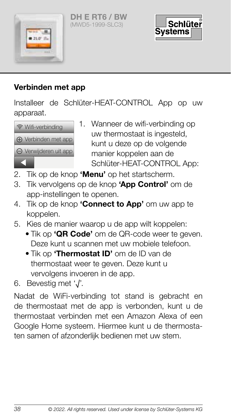



## Verbinden met app

Installeer de Schlüter-HEAT-CONTROL App op uw apparaat.



- 1. Wanneer de wifi-verbinding op uw thermostaat is ingesteld, kunt u deze op de volgende manier koppelen aan de Schlüter-HEAT-CONTROL App:
- 2. Tik op de knop 'Menu' op het startscherm.
- 3. Tik vervolgens op de knop 'App Control' om de app-instellingen te openen.
- 4. Tik op de knop 'Connect to App' om uw app te koppelen.
- 5. Kies de manier waarop u de app wilt koppelen:
	- Tik op 'QR Code' om de QR-code weer te geven. Deze kunt u scannen met uw mobiele telefoon.
	- Tik op 'Thermostat ID' om de ID van de thermostaat weer te geven. Deze kunt u vervolgens invoeren in de app.
- 6. Bevestig met '√'.

Nadat de WiFi-verbinding tot stand is gebracht en de thermostaat met de app is verbonden, kunt u de thermostaat verbinden met een Amazon Alexa of een Google Home systeem. Hiermee kunt u de thermostaten samen of afzonderlijk bedienen met uw stem.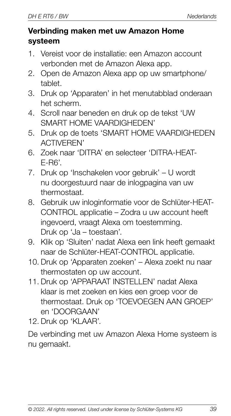## Verbinding maken met uw Amazon Home systeem

- 1. Vereist voor de installatie: een Amazon account verbonden met de Amazon Alexa app.
- 2. Open de Amazon Alexa app op uw smartphone/ tablet.
- 3. Druk op 'Apparaten' in het menutabblad onderaan het scherm.
- 4. Scroll naar beneden en druk op de tekst 'UW SMART HOME VAARDIGHEDEN'
- 5. Druk op de toets 'SMART HOME VAARDIGHEDEN ACTIVEREN'
- 6. Zoek naar 'DITRA' en selecteer 'DITRA-HEAT-E-R6'.
- 7. Druk op 'Inschakelen voor gebruik' U wordt nu doorgestuurd naar de inlogpagina van uw thermostaat.
- 8. Gebruik uw inloginformatie voor de Schlüter-HEAT-CONTROL applicatie – Zodra u uw account heeft ingevoerd, vraagt Alexa om toestemming. Druk op 'Ja – toestaan'.
- 9. Klik op 'Sluiten' nadat Alexa een link heeft gemaakt naar de Schlüter-HEAT-CONTROL applicatie.
- 10. Druk op 'Apparaten zoeken' Alexa zoekt nu naar thermostaten op uw account.
- 11. Druk op 'APPARAAT INSTELLEN' nadat Alexa klaar is met zoeken en kies een groep voor de thermostaat. Druk op 'TOEVOEGEN AAN GROEP' en 'DOORGAAN'
- 12. Druk op 'KLAAR'.

De verbinding met uw Amazon Alexa Home systeem is nu gemaakt.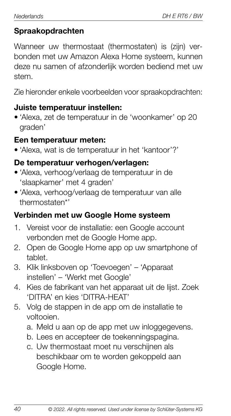## Spraakopdrachten

Wanneer uw thermostaat (thermostaten) is (zijn) verbonden met uw Amazon Alexa Home systeem, kunnen deze nu samen of afzonderlijk worden bediend met uw stem.

Zie hieronder enkele voorbeelden voor spraakopdrachten:

## Juiste temperatuur instellen:

• 'Alexa, zet de temperatuur in de 'woonkamer' op 20 graden'

### Een temperatuur meten:

• 'Alexa, wat is de temperatuur in het 'kantoor'?'

## De temperatuur verhogen/verlagen:

- 'Alexa, verhoog/verlaag de temperatuur in de 'slaapkamer' met 4 graden'
- 'Alexa, verhoog/verlaag de temperatuur van alle thermostaten\*'

## Verbinden met uw Google Home systeem

- 1. Vereist voor de installatie: een Google account verbonden met de Google Home app.
- 2. Open de Google Home app op uw smartphone of tablet.
- 3. Klik linksboven op 'Toevoegen' 'Apparaat instellen' – 'Werkt met Google'
- 4. Kies de fabrikant van het apparaat uit de lijst. Zoek 'DITRA' en kies 'DITRA-HEAT'
- 5. Volg de stappen in de app om de installatie te voltooien.
	- a. Meld u aan op de app met uw inloggegevens.
	- b. Lees en accepteer de toekenningspagina.
	- c. Uw thermostaat moet nu verschijnen als beschikbaar om te worden gekoppeld aan Google Home.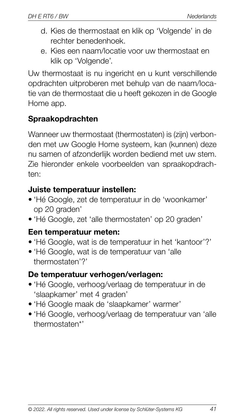- d. Kies de thermostaat en klik op 'Volgende' in de rechter benedenhoek.
- e. Kies een naam/locatie voor uw thermostaat en klik op 'Volgende'.

Uw thermostaat is nu ingericht en u kunt verschillende opdrachten uitproberen met behulp van de naam/locatie van de thermostaat die u heeft gekozen in de Google Home app.

# Spraakopdrachten

Wanneer uw thermostaat (thermostaten) is (zijn) verbonden met uw Google Home systeem, kan (kunnen) deze nu samen of afzonderlijk worden bediend met uw stem. Zie hieronder enkele voorbeelden van spraakopdrachten:

## Juiste temperatuur instellen:

- 'Hé Google, zet de temperatuur in de 'woonkamer' op 20 graden'
- 'Hé Google, zet 'alle thermostaten' op 20 graden'

## Een temperatuur meten:

- 'Hé Google, wat is de temperatuur in het 'kantoor'?'
- 'Hé Google, wat is de temperatuur van 'alle thermostaten'?'

## De temperatuur verhogen/verlagen:

- 'Hé Google, verhoog/verlaag de temperatuur in de 'slaapkamer' met 4 graden'
- 'Hé Google maak de 'slaapkamer' warmer'
- 'Hé Google, verhoog/verlaag de temperatuur van 'alle thermostaten\*'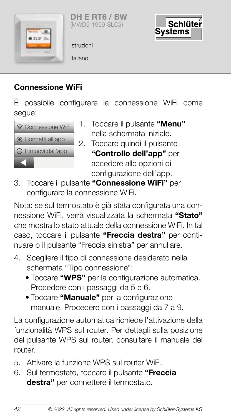

Istruzioni

Italiano



### Connessione WiFi

È possibile configurare la connessione WiFi come segue:



- 1. Toccare il pulsante "Menu" nella schermata iniziale.
- 2. Toccare quindi il pulsante "Controllo dell'app" per accedere alle opzioni di configurazione dell'app.
- 3. Toccare il pulsante "Connessione WiFi" per configurare la connessione WiFi.

Nota: se sul termostato è già stata configurata una connessione WiFi, verrà visualizzata la schermata "Stato" che mostra lo stato attuale della connessione WiFi. In tal caso, toccare il pulsante "Freccia destra" per continuare o il pulsante "Freccia sinistra" per annullare.

- 4. Scegliere il tipo di connessione desiderato nella schermata "Tipo connessione":
	- Toccare "WPS" per la configurazione automatica. Procedere con i passaggi da 5 e 6.
	- Toccare "Manuale" per la configurazione manuale. Procedere con i passaggi da 7 a 9.

La configurazione automatica richiede l'attivazione della funzionalità WPS sul router. Per dettagli sulla posizione del pulsante WPS sul router, consultare il manuale del router.

- 5. Attivare la funzione WPS sul router WiFi.
- 6. Sul termostato, toccare il pulsante "Freccia destra" per connettere il termostato.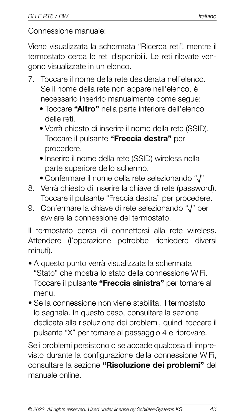Connessione manuale:

Viene visualizzata la schermata "Ricerca reti", mentre il termostato cerca le reti disponibili. Le reti rilevate vengono visualizzate in un elenco.

- 7. Toccare il nome della rete desiderata nell'elenco. Se il nome della rete non appare nell'elenco, è necessario inserirlo manualmente come segue:
	- Toccare "Altro" nella parte inferiore dell'elenco delle reti.
	- Verrà chiesto di inserire il nome della rete (SSID). Toccare il pulsante "Freccia destra" per procedere.
	- Inserire il nome della rete (SSID) wireless nella parte superiore dello schermo.
	- Confermare il nome della rete selezionando "√"
- 8. Verrà chiesto di inserire la chiave di rete (password). Toccare il pulsante "Freccia destra" per procedere.
- 9. Confermare la chiave di rete selezionando "√" per avviare la connessione del termostato.

Il termostato cerca di connettersi alla rete wireless. Attendere (l'operazione potrebbe richiedere diversi minuti).

- A questo punto verrà visualizzata la schermata "Stato" che mostra lo stato della connessione WiFi. Toccare il pulsante "Freccia sinistra" per tornare al menu.
- Se la connessione non viene stabilita, il termostato lo segnala. In questo caso, consultare la sezione dedicata alla risoluzione dei problemi, quindi toccare il pulsante "X" per tornare al passaggio 4 e riprovare.

Se i problemi persistono o se accade qualcosa di imprevisto durante la configurazione della connessione WiFi, consultare la sezione "Risoluzione dei problemi" del manuale online.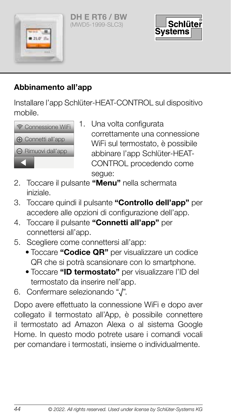



## Abbinamento all'app

Installare l'app Schlüter-HEAT-CONTROL sul dispositivo mobile.



- 1. Una volta configurata correttamente una connessione WiFi sul termostato, è possibile abbinare l'app Schlüter-HEAT-CONTROL procedendo come segue:
- 2. Toccare il pulsante "Menu" nella schermata iniziale.
- 3. Toccare quindi il pulsante "Controllo dell'app" per accedere alle opzioni di configurazione dell'app.
- 4. Toccare il pulsante "Connetti all'app" per connettersi all'app.
- 5. Scegliere come connettersi all'app:
	- Toccare "Codice QR" per visualizzare un codice QR che si potrà scansionare con lo smartphone.
	- Toccare "ID termostato" per visualizzare l'ID del termostato da inserire nell'app.
- 6. Confermare selezionando "√".

Dopo avere effettuato la connessione WiFi e dopo aver collegato il termostato all'App, è possibile connettere il termostato ad Amazon Alexa o al sistema Google Home. In questo modo potrete usare i comandi vocali per comandare i termostati, insieme o individualmente.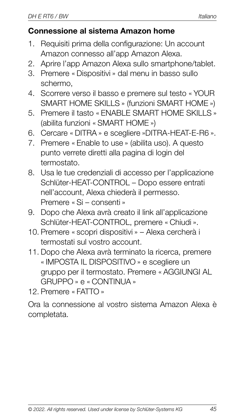## Connessione al sistema Amazon home

- 1. Requisiti prima della configurazione: Un account Amazon connesso all'app Amazon Alexa.
- 2. Aprire l'app Amazon Alexa sullo smartphone/tablet.
- 3. Premere « Dispositivi » dal menu in basso sullo schermo,
- 4. Scorrere verso il basso e premere sul testo « YOUR SMART HOME SKILLS » (funzioni SMART HOME »)
- 5. Premere il tasto « ENABLE SMART HOME SKILLS » (abilita funzioni « SMART HOME »)
- 6. Cercare « DITRA » e scegliere »DITRA-HEAT-E-R6 ».
- 7. Premere « Enable to use » (abilita uso). A questo punto verrete diretti alla pagina di login del termostato.
- 8. Usa le tue credenziali di accesso per l'applicazione Schlüter-HEAT-CONTROL – Dopo essere entrati nell'account, Alexa chiederà il permesso. Premere « Si – consenti »
- 9. Dopo che Alexa avrà creato il link all'applicazione Schlüter-HEAT-CONTROL, premere « Chiudi ».
- 10. Premere « scopri dispositivi » Alexa cercherà i termostati sul vostro account.
- 11. Dopo che Alexa avrà terminato la ricerca, premere « IMPOSTA IL DISPOSITIVO » e scegliere un gruppo per il termostato. Premere « AGGIUNGI AL GRUPPO » e « CONTINUA »

12. Premere « FATTO »

Ora la connessione al vostro sistema Amazon Alexa è completata.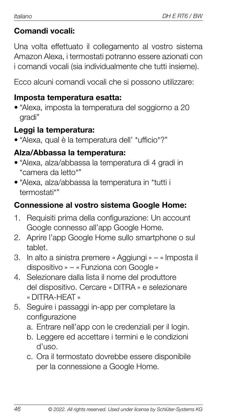## Comandi vocali:

Una volta effettuato il collegamento al vostro sistema Amazon Alexa, i termostati potranno essere azionati con i comandi vocali (sia individualmente che tutti insieme).

Ecco alcuni comandi vocali che si possono utilizzare:

## Imposta temperatura esatta:

• "Alexa, imposta la temperatura del soggiorno a 20 gradi"

# Leggi la temperatura:

• "Alexa, qual è la temperatura dell' \*ufficio\*?"

# Alza/Abbassa la temperatura:

- "Alexa, alza/abbassa la temperatura di 4 gradi in \*camera da letto\*"
- "Alexa, alza/abbassa la temperatura in \*tutti i termostati\*"

# Connessione al vostro sistema Google Home:

- 1. Requisiti prima della configurazione: Un account Google connesso all'app Google Home.
- 2. Aprire l'app Google Home sullo smartphone o sul tablet.
- 3. In alto a sinistra premere « Aggiungi » « Imposta il dispositivo » – « Funziona con Google »
- 4. Selezionare dalla lista il nome del produttore del dispositivo. Cercare « DITRA » e selezionare « DITRA-HEAT »
- 5. Seguire i passaggi in-app per completare la configurazione
	- a. Entrare nell'app con le credenziali per il login.
	- b. Leggere ed accettare i termini e le condizioni d'uso.
	- c. Ora il termostato dovrebbe essere disponibile per la connessione a Google Home.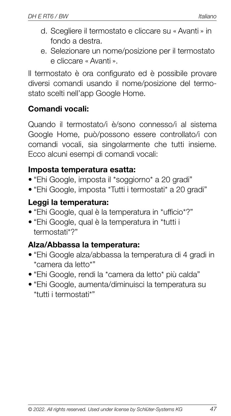- d. Scegliere il termostato e cliccare su « Avanti » in fondo a destra.
- e. Selezionare un nome/posizione per il termostato e cliccare « Avanti ».

Il termostato è ora configurato ed è possibile provare diversi comandi usando il nome/posizione del termostato scelti nell'app Google Home.

## Comandi vocali:

Quando il termostato/i è/sono connesso/i al sistema Google Home, può/possono essere controllato/i con comandi vocali, sia singolarmente che tutti insieme. Ecco alcuni esempi di comandi vocali:

## Imposta temperatura esatta:

- "Ehi Google, imposta il \*soggiorno\* a 20 gradi"
- "Ehi Google, imposta \*Tutti i termostati\* a 20 gradi"

## Leggi la temperatura:

- "Ehi Google, qual è la temperatura in \*ufficio\*?"
- "Ehi Google, qual è la temperatura in \*tutti i termostati\*?"

# Alza/Abbassa la temperatura:

- "Ehi Google alza/abbassa la temperatura di 4 gradi in \*camera da letto\*"
- "Ehi Google, rendi la \*camera da letto\* più calda"
- "Ehi Google, aumenta/diminuisci la temperatura su \*tutti i termostati\*"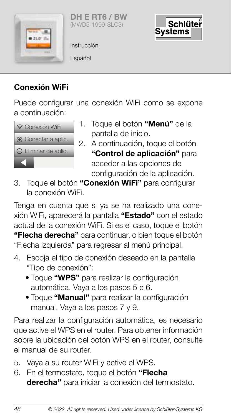



Español



## Conexión WiFi

Puede configurar una conexión WiFi como se expone a continuación:



- 1. Toque el botón "Menú" de la pantalla de inicio.
- 2. A continuación, toque el botón "Control de aplicación" para acceder a las opciones de configuración de la aplicación.
- 3. Toque el botón "Conexión WiFi" para configurar la conexión WiFi.

Tenga en cuenta que si ya se ha realizado una conexión WiFi, aparecerá la pantalla "Estado" con el estado actual de la conexión WiFi. Si es el caso, toque el botón "Flecha derecha" para continuar, o bien toque el botón "Flecha izquierda" para regresar al menú principal.

- 4. Escoja el tipo de conexión deseado en la pantalla "Tipo de conexión":
	- Toque "WPS" para realizar la configuración automática. Vaya a los pasos 5 e 6.
	- Toque "Manual" para realizar la configuración manual. Vaya a los pasos 7 y 9.

Para realizar la configuración automática, es necesario que active el WPS en el router. Para obtener información sobre la ubicación del botón WPS en el router, consulte el manual de su router.

- 5. Vaya a su router WiFi y active el WPS.
- 6. En el termostato, toque el botón "Flecha derecha" para iniciar la conexión del termostato.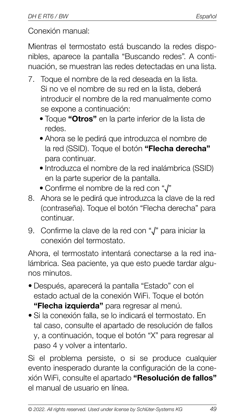Conexión manual:

Mientras el termostato está buscando la redes disponibles, aparece la pantalla "Buscando redes". A continuación, se muestran las redes detectadas en una lista.

- 7. Toque el nombre de la red deseada en la lista. Si no ve el nombre de su red en la lista, deberá introducir el nombre de la red manualmente como se expone a continuación:
	- Toque "Otros" en la parte inferior de la lista de redes.
	- Ahora se le pedirá que introduzca el nombre de la red (SSID). Toque el botón "Flecha derecha" para continuar.
	- Introduzca el nombre de la red inalámbrica (SSID) en la parte superior de la pantalla.
	- Confirme el nombre de la red con "√"
- 8. Ahora se le pedirá que introduzca la clave de la red (contraseña). Toque el botón "Flecha derecha" para continuar.
- 9. Confirme la clave de la red con "√" para iniciar la conexión del termostato.

Ahora, el termostato intentará conectarse a la red inalámbrica. Sea paciente, ya que esto puede tardar algunos minutos.

- Después, aparecerá la pantalla "Estado" con el estado actual de la conexión WiFi. Toque el botón "Flecha izquierda" para regresar al menú.
- Si la conexión falla, se lo indicará el termostato. En tal caso, consulte el apartado de resolución de fallos y, a continuación, toque el botón "X" para regresar al paso 4 y volver a intentarlo.

Si el problema persiste, o si se produce cualquier evento inesperado durante la configuración de la conexión WiFi, consulte el apartado "Resolución de fallos" el manual de usuario en línea.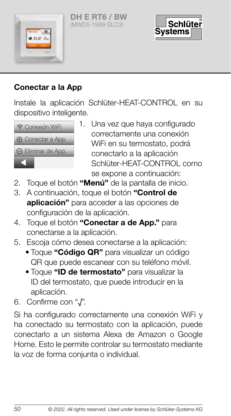



## Conectar a la App

Instale la aplicación Schlüter-HEAT-CONTROL en su dispositivo inteligente.



- 1. Una vez que haya configurado correctamente una conexión WiFi en su termostato, podrá conectarlo a la aplicación Schlüter-HEAT-CONTROL como se expone a continuación:
- 2. Toque el botón "Menú" de la pantalla de inicio.
- 3. A continuación, toque el botón "Control de aplicación" para acceder a las opciones de configuración de la aplicación.
- 4. Toque el botón "Conectar a de App." para conectarse a la aplicación.
- 5. Escoja cómo desea conectarse a la aplicación:
	- Toque "Código QR" para visualizar un código QR que puede escanear con su teléfono móvil.
	- Toque "ID de termostato" para visualizar la ID del termostato, que puede introducir en la aplicación.
- 6. Confirme con "√".

Si ha configurado correctamente una conexión WiFi y ha conectado su termostato con la aplicación, puede conectarlo a un sistema Alexa de Amazon o Google Home. Esto le permite controlar su termostato mediante la voz de forma conjunta o individual.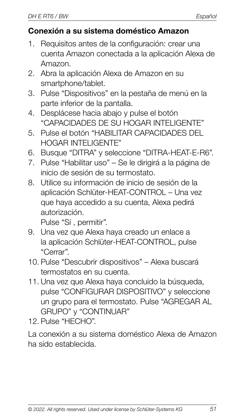## Conexión a su sistema doméstico Amazon

- 1. Requisitos antes de la configuración: crear una cuenta Amazon conectada a la aplicación Alexa de Amazon.
- 2. Abra la aplicación Alexa de Amazon en su smartphone/tablet.
- 3. Pulse "Dispositivos" en la pestaña de menú en la parte inferior de la pantalla.
- 4. Desplácese hacia abajo y pulse el botón "CAPACIDADES DE SU HOGAR INTELIGENTE"
- 5. Pulse el botón "HABILITAR CAPACIDADES DEL HOGAR INTELIGENTE"
- 6. Busque "DITRA" y seleccione "DITRA-HEAT-E-R6".
- 7. Pulse "Habilitar uso" Se le dirigirá a la página de inicio de sesión de su termostato.
- 8. Utilice su información de inicio de sesión de la aplicación Schlüter-HEAT-CONTROL – Una vez que haya accedido a su cuenta, Alexa pedirá autorización.

Pulse "Sí , permitir".

- 9. Una vez que Alexa haya creado un enlace a la aplicación Schlüter-HEAT-CONTROL, pulse "Cerrar".
- 10. Pulse "Descubrir dispositivos" Alexa buscará termostatos en su cuenta.
- 11. Una vez que Alexa haya concluido la búsqueda, pulse "CONFIGURAR DISPOSITIVO" y seleccione un grupo para el termostato. Pulse "AGREGAR AL GRUPO" y "CONTINUAR"

12. Pulse "HECHO".

La conexión a su sistema doméstico Alexa de Amazon ha sido establecida.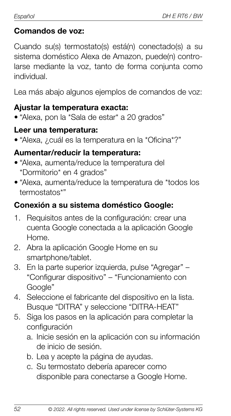# Comandos de voz:

Cuando su(s) termostato(s) está(n) conectado(s) a su sistema doméstico Alexa de Amazon, puede(n) controlarse mediante la voz, tanto de forma conjunta como individual.

Lea más abajo algunos ejemplos de comandos de voz:

## Ajustar la temperatura exacta:

• "Alexa, pon la \*Sala de estar\* a 20 grados"

## Leer una temperatura:

• "Alexa, ¿cuál es la temperatura en la \*Oficina\*?"

## Aumentar/reducir la temperatura:

- "Alexa, aumenta/reduce la temperatura del \*Dormitorio\* en 4 grados"
- "Alexa, aumenta/reduce la temperatura de \*todos los termostatos\*"

# Conexión a su sistema doméstico Google:

- 1. Requisitos antes de la configuración: crear una cuenta Google conectada a la aplicación Google Home.
- 2. Abra la aplicación Google Home en su smartphone/tablet.
- 3. En la parte superior izquierda, pulse "Agregar" "Configurar dispositivo" – "Funcionamiento con Google"
- 4. Seleccione el fabricante del dispositivo en la lista. Busque "DITRA" y seleccione "DITRA-HEAT"
- 5. Siga los pasos en la aplicación para completar la configuración
	- a. Inicie sesión en la aplicación con su información de inicio de sesión.
	- b. Lea y acepte la página de ayudas.
	- c. Su termostato debería aparecer como disponible para conectarse a Google Home.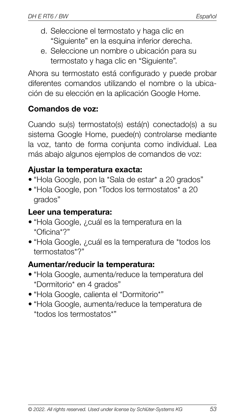- d. Seleccione el termostato y haga clic en "Siguiente" en la esquina inferior derecha.
- e. Seleccione un nombre o ubicación para su termostato y haga clic en "Siguiente".

Ahora su termostato está configurado y puede probar diferentes comandos utilizando el nombre o la ubicación de su elección en la aplicación Google Home.

## Comandos de voz:

Cuando su(s) termostato(s) está(n) conectado(s) a su sistema Google Home, puede(n) controlarse mediante la voz, tanto de forma conjunta como individual. Lea más abajo algunos ejemplos de comandos de voz:

## Ajustar la temperatura exacta:

- "Hola Google, pon la \*Sala de estar\* a 20 grados"
- "Hola Google, pon \*Todos los termostatos\* a 20 grados"

### Leer una temperatura:

- "Hola Google, ¿cuál es la temperatura en la \*Oficina\*?"
- "Hola Google, ¿cuál es la temperatura de \*todos los termostatos\*?"

### Aumentar/reducir la temperatura:

- "Hola Google, aumenta/reduce la temperatura del \*Dormitorio\* en 4 grados"
- "Hola Google, calienta el \*Dormitorio\*"
- "Hola Google, aumenta/reduce la temperatura de \*todos los termostatos\*"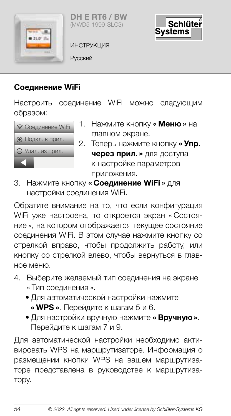

ИНСТРУКІ ІИЯ

Русский



#### Соединение WiFi

Настроить соединение WiFi можно следующим образом:



- 1. Нажмите кнопку « Меню » на главном экране.
- 2. Теперь нажмите кнопку « Упр. через прил. » для доступа к настройке параметров приложения.
- 3. Нажмите кнопку « Соединение WiFi » для настройки соединения WiFi.

Обратите внимание на то, что если конфигурация WiFi уже настроена, то откроется экран « Состояние », на котором отображается текущее состояние соединения WiFi. В этом случае нажмите кнопку со стрелкой вправо, чтобы продолжить работу, или кнопку со стрелкой влево, чтобы вернуться в главное меню.

- 4. Выберите желаемый тип соединения на экране
	- « Тип соединения ».
	- Для автоматической настройки нажмите « WPS ». Перейдите к шагам 5 и 6.
	- Для настройки вручную нажмите «Вручную». Перейдите к шагам 7 и 9.

Для автоматической настройки необходимо активировать WPS на маршрутизаторе. Информация о размещении кнопки WPS на вашем маршрутизаторе представлена в руководстве к маршрутизатору.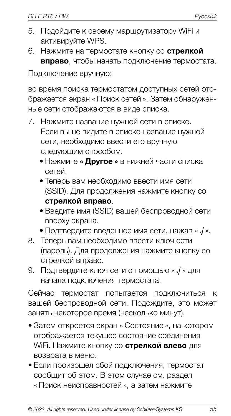- 5. Подойдите к своему маршрутизатору WiFi и активируйте WPS.
- 6. Нажмите на термостате кнопку со стрелкой вправо, чтобы начать подключение термостата.

Подключение вручную:

во время поиска термостатом доступных сетей отображается экран « Поиск сетей ». Затем обнаруженные сети отображаются в виде списка.

- 7. Нажмите название нужной сети в списке. Если вы не видите в списке название нужной сети, необходимо ввести его вручную следующим способом.
	- Нажмите « Другое » в нижней части списка сетей.
	- Теперь вам необходимо ввести имя сети (SSID). Для продолжения нажмите кнопку со стрелкой вправо.
	- Введите имя (SSID) вашей беспроводной сети вверху экрана.
	- Подтвердите введенное имя сети, нажав « √ ».
- 8. Теперь вам необходимо ввести ключ сети (пароль). Для продолжения нажмите кнопку со стрелкой вправо.
- 9. Подтвердите ключ сети с помощью « √ » для начала подключения термостата.

Сейчас термостат попытается подключиться к вашей беспроводной сети. Подождите, это может занять некоторое время (несколько минут).

- Затем откроется экран « Состояние », на котором отображается текущее состояние соединения WiFi. Нажмите кнопку со стрелкой влево для возврата в меню.
- Если произошел сбой подключения, термостат сообщит об этом. В этом случае см. раздел « Поиск неисправностей », а затем нажмите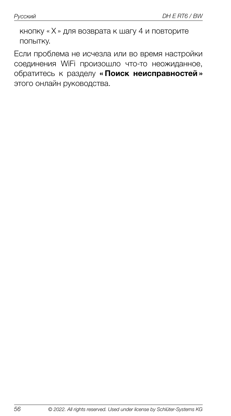кнопку « X » для возврата к шагу 4 и повторите попытку.

Если проблема не исчезла или во время настройки соединения WiFi произошло что-то неожиданное, обратитесь к разделу « Поиск неисправностей » этого онлайн руководства.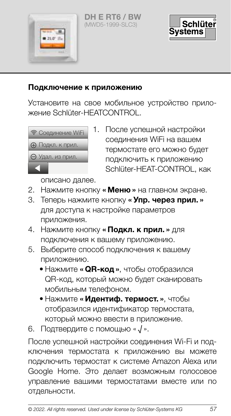





#### Подключение к приложению

Установите на свое мобильное устройство приложение Schlüter-HEATCONTROL.



1. После успешной настройки соединения WiFi на вашем термостате его можно будет подключить к приложению Schlüter-HEAT-CONTROL, как

описано далее.

- 2. Нажмите кнопку « Меню » на главном экране.
- 3. Теперь нажмите кнопку « Упр. через прил. » для доступа к настройке параметров приложения.
- 4. Нажмите кнопку « Подкл. к прил. » для подключения к вашему приложению.
- 5. Выберите способ подключения к вашему приложению.
	- Нажмите « QR-код », чтобы отобразился QR-код, который можно будет сканировать мобильным телефоном.
	- Нажмите « Идентиф. термост. », чтобы отобразился идентификатор термостата, который можно ввести в приложение.
- 6. Подтвердите с помощью « √ ».

После успешной настройки соединения Wi-Fi и подключения термостата к приложению вы можете подключить термостат к системе Amazon Alexa или Google Home. Это делает возможным голосовое управление вашими термостатами вместе или по отдельности.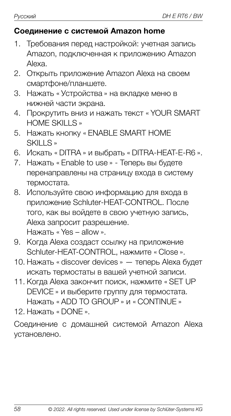## Соединение с системой Amazon home

- 1. Требования перед настройкой: учетная запись Amazon, подключенная к приложению Amazon Alexa.
- 2. Открыть приложение Amazon Alexa на своем смартфоне/планшете.
- 3. Нажать « Устройства » на вкладке меню в нижней части экрана.
- 4. Прокрутить вниз и нажать текст « YOUR SMART HOME SKILLS »
- 5. Нажать кнопку « ENABLE SMART HOME SKILLS »
- 6. Искать « DITRA » и выбрать « DITRA-HEAT-E-R6 ».
- 7. Нажать « Enable to use » Теперь вы будете перенаправлены на страницу входа в систему термостата.
- 8. Используйте свою информацию для входа в приложение Schluter-HEAT-CONTROL. После того, как вы войдете в свою учетную запись, Alexa запросит разрешение. Нажать « Yes – allow ».
- 9. Когда Alexa создаст ссылку на приложение Schluter-HEAT-CONTROL, нажмите « Close ».
- 10. Нажать « discover devices » теперь Alexa будет искать термостаты в вашей учетной записи.
- 11. Когда Alexa закончит поиск, нажмите « SET UP DEVICE » и выберите группу для термостата. Нажать « ADD TO GROUP » и « CONTINUE »
- 12. Нажать « DONE ».

Соединение с домашней системой Amazon Alexa установлено.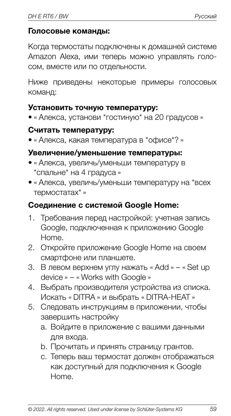#### Голосовые команды:

Когда термостаты подключены к домашней системе Amazon Alexa, ими теперь можно управлять голосом, вместе или по отдельности.

Ниже приведены некоторые примеры голосовых команд:

#### Установить точную температуру:

• « Алекса, установи \*гостиную\* на 20 градусов »

#### Считать температуру:

• «Алекса, какая температура в \*офисе\*? »

#### Увеличение/уменьшение температуры:

- « Алекса, увеличь/уменьши температуру в \*спальне\* на 4 градуса »
- «Алекса, увеличь/уменьши температуру на \*всех термостатах\* »

### Соединение с системой Google Home:

- 1. Требования перед настройкой: учетная запись Google, подключенная к приложению Google Home.
- 2. Откройте приложение Google Home на своем смартфоне или планшете.
- 3. В левом верхнем углу нажать « Add » « Set up device » – « Works with Google »
- 4. Выбрать производителя устройства из списка. Искать « DITRA » и выбрать « DITRA-HEAT »
- 5. Следовать инструкциям в приложении, чтобы завершить настройку
	- a. Войдите в приложение с вашими данными для входа.
	- b. Прочитать и принять страницу грантов.
	- c. Теперь ваш термостат должен отображаться как доступный для подключения к Google Home.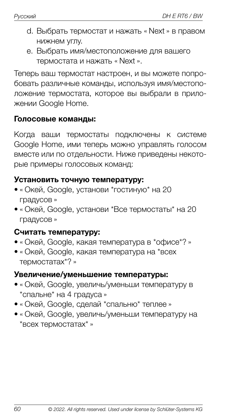- d. Выбрать термостат и нажать « Next » в правом нижнем углу.
- e. Выбрать имя/местоположение для вашего термостата и нажать « Next ».

Теперь ваш термостат настроен, и вы можете попробовать различные команды, используя имя/местоположение термостата, которое вы выбрали в приложении Google Home.

#### Голосовые команды:

Когда ваши термостаты подключены к системе Google Home, ими теперь можно управлять голосом вместе или по отдельности. Ниже приведены некоторые примеры голосовых команд:

### Установить точную температуру:

- « Окей, Google, установи \*гостиную\* на 20 градусов »
- « Окей, Google, установи \*Все термостаты\* на 20 градусов »

#### Считать температуру:

- « Окей, Google, какая температура в \*офисе\*? »
- « Окей, Google, какая температура на \*всех термостатах\*? »

#### Увеличение/уменьшение температуры:

- « Окей, Google, увеличь/уменьши температуру в \*спальне\* на 4 градуса »
- « Окей, Google, сделай \*спальню\* теплее »
- « Окей, Google, увеличь/уменьши температуру на \*всех термостатах\* »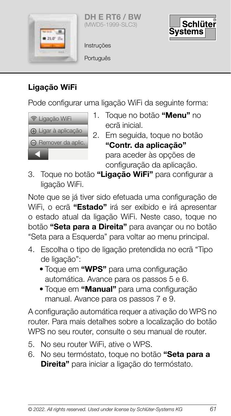



Instruções

**Português** 

# Ligação WiFi

Pode configurar uma ligação WiFi da seguinte forma:



- 1. Toque no botão "Menu" no ecrã inicial.
- 2. Em seguida, toque no botão "Contr. da aplicação" para aceder às opções de configuração da aplicação.
- 3. Toque no botão "Ligação WiFi" para configurar a ligação WiFi.

Note que se já tiver sido efetuada uma configuração de WiFi, o ecrã "Estado" irá ser exibido e irá apresentar o estado atual da ligação WiFi. Neste caso, toque no botão "Seta para a Direita" para avançar ou no botão "Seta para a Esquerda" para voltar ao menu principal.

- 4. Escolha o tipo de ligação pretendida no ecrã "Tipo de ligação":
	- Toque em "WPS" para uma configuração automática. Avance para os passos 5 e 6.
	- Toque em "Manual" para uma configuração manual. Avance para os passos 7 e 9.

A configuração automática requer a ativação do WPS no router. Para mais detalhes sobre a localização do botão WPS no seu router, consulte o seu manual de router.

- 5. No seu router WiFi, ative o WPS.
- 6. No seu termóstato, toque no botão "Seta para a Direita" para iniciar a ligação do termóstato.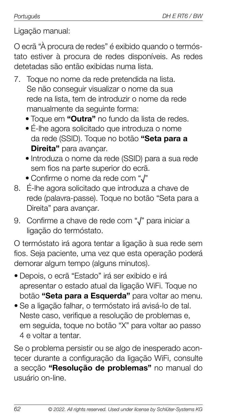Ligação manual:

O ecrã "À procura de redes" é exibido quando o termóstato estiver à procura de redes disponíveis. As redes detetadas são então exibidas numa lista.

- 7. Toque no nome da rede pretendida na lista. Se não conseguir visualizar o nome da sua rede na lista, tem de introduzir o nome da rede manualmente da seguinte forma:
	- Toque em "Outra" no fundo da lista de redes.
	- É-lhe agora solicitado que introduza o nome da rede (SSID). Toque no botão "Seta para a Direita" para avancar.
	- Introduza o nome da rede (SSID) para a sua rede sem fios na parte superior do ecrã.
	- Confirme o nome da rede com "√"
- 8. É-lhe agora solicitado que introduza a chave de rede (palavra-passe). Toque no botão "Seta para a Direita" para avançar.
- 9. Confirme a chave de rede com "√" para iniciar a ligação do termóstato.

O termóstato irá agora tentar a ligação à sua rede sem fios. Seja paciente, uma vez que esta operação poderá demorar algum tempo (alguns minutos).

- Depois, o ecrã "Estado" irá ser exibido e irá apresentar o estado atual da ligação WiFi. Toque no botão "Seta para a Esquerda" para voltar ao menu.
- Se a ligação falhar, o termóstato irá avisá-lo de tal. Neste caso, verifique a resolução de problemas e, em seguida, toque no botão "X" para voltar ao passo 4 e voltar a tentar.

Se o problema persistir ou se algo de inesperado acontecer durante a configuração da ligação WiFi, consulte a secção "Resolucão de problemas" no manual do usuário on-line.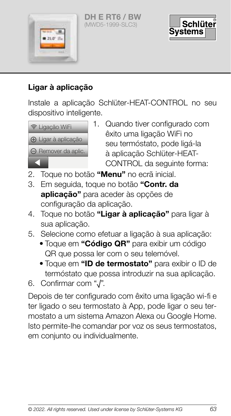



# Ligar à aplicação

Instale a aplicação Schlüter-HEAT-CONTROL no seu dispositivo inteligente.

DH E RT6 / BW (MWD5-1999-SLC3)



- 1. Quando tiver configurado com êxito uma ligação WiFi no seu termóstato, pode ligá-la à aplicação Schlüter-HEAT-CONTROL da seguinte forma:
- 2. Toque no botão "Menu" no ecrã inicial.
- 3. Em seguida, toque no botão "Contr. da aplicação" para aceder às opções de configuração da aplicação.
- 4. Toque no botão "Ligar à aplicação" para ligar à sua aplicação.
- 5. Selecione como efetuar a ligação à sua aplicação:
	- Toque em "Código QR" para exibir um código QR que possa ler com o seu telemóvel.
	- Toque em "ID de termostato" para exibir o ID de termóstato que possa introduzir na sua aplicação.
- 6. Confirmar com "√".

Depois de ter configurado com êxito uma ligação wi-fi e ter ligado o seu termostato à App, pode ligar o seu termostato a um sistema Amazon Alexa ou Google Home. Isto permite-lhe comandar por voz os seus termostatos, em conjunto ou individualmente.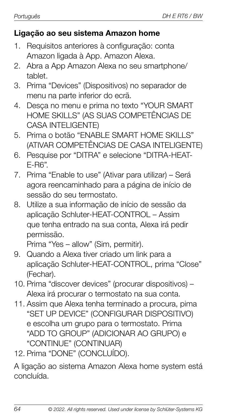## Ligação ao seu sistema Amazon home

- 1. Requisitos anteriores à configuração: conta Amazon ligada à App. Amazon Alexa.
- 2. Abra a App Amazon Alexa no seu smartphone/ tablet.
- 3. Prima "Devices" (Dispositivos) no separador de menu na parte inferior do ecrã.
- 4. Desça no menu e prima no texto "YOUR SMART HOME SKILLS" (AS SUAS COMPETÊNCIAS DE CASA INTELIGENTE)
- 5. Prima o botão "ENABLE SMART HOME SKILLS" (ATIVAR COMPETÊNCIAS DE CASA INTELIGENTE)
- 6. Pesquise por "DITRA" e selecione "DITRA-HEAT-E-R6".
- 7. Prima "Enable to use" (Ativar para utilizar) Será agora reencaminhado para a página de início de sessão do seu termostato.
- 8. Utilize a sua informação de início de sessão da aplicação Schluter-HEAT-CONTROL – Assim que tenha entrado na sua conta, Alexa irá pedir permissão.

Prima "Yes – allow" (Sim, permitir).

- 9. Quando a Alexa tiver criado um link para a aplicação Schluter-HEAT-CONTROL, prima "Close" (Fechar).
- 10. Prima "discover devices" (procurar dispositivos) Alexa irá procurar o termostato na sua conta.
- 11. Assim que Alexa tenha terminado a procura, pima "SET UP DEVICE" (CONFIGURAR DISPOSITIVO) e escolha um grupo para o termostato. Prima "ADD TO GROUP" (ADICIONAR AO GRUPO) e "CONTINUE" (CONTINUAR)
- 12. Prima "DONE" (CONCLUÍDO).

A ligação ao sistema Amazon Alexa home system está concluída.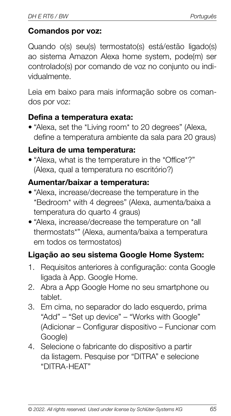## Comandos por voz:

Quando o(s) seu(s) termostato(s) está/estão ligado(s) ao sistema Amazon Alexa home system, pode(m) ser controlado(s) por comando de voz no conjunto ou individualmente.

Leia em baixo para mais informação sobre os comandos por voz:

#### Defina a temperatura exata:

• "Alexa, set the \*Living room\* to 20 degrees" (Alexa, define a temperatura ambiente da sala para 20 graus)

### Leitura de uma temperatura:

• "Alexa, what is the temperature in the \*Office\*?" (Alexa, qual a temperatura no escritório?)

## Aumentar/baixar a temperatura:

- "Alexa, increase/decrease the temperature in the \*Bedroom\* with 4 degrees" (Alexa, aumenta/baixa a temperatura do quarto 4 graus)
- "Alexa, increase/decrease the temperature on \*all thermostats\*" (Alexa, aumenta/baixa a temperatura em todos os termostatos)

# Ligação ao seu sistema Google Home System:

- 1. Requisitos anteriores à configuração: conta Google ligada à App. Google Home.
- 2. Abra a App Google Home no seu smartphone ou tablet.
- 3. Em cima, no separador do lado esquerdo, prima "Add" – "Set up device" – "Works with Google" (Adicionar – Configurar dispositivo – Funcionar com Google)
- 4. Selecione o fabricante do dispositivo a partir da listagem. Pesquise por "DITRA" e selecione "DITRA-HEAT"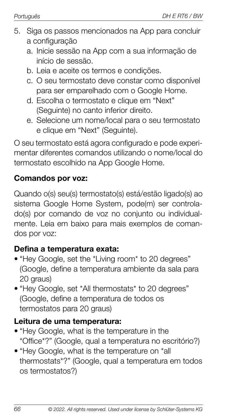- 5. Siga os passos mencionados na App para concluir a configuração
	- a. Inicie sessão na App com a sua informação de início de sessão.
	- b. Leia e aceite os termos e condições.
	- c. O seu termostato deve constar como disponível para ser emparelhado com o Google Home.
	- d. Escolha o termostato e clique em "Next" (Seguinte) no canto inferior direito.
	- e. Selecione um nome/local para o seu termostato e clique em "Next" (Seguinte).

O seu termostato está agora configurado e pode experimentar diferentes comandos utilizando o nome/local do termostato escolhido na App Google Home.

# Comandos por voz:

Quando o(s) seu(s) termostato(s) está/estão ligado(s) ao sistema Google Home System, pode(m) ser controlado(s) por comando de voz no conjunto ou individualmente. Leia em baixo para mais exemplos de comandos por voz:

# Defina a temperatura exata:

- "Hey Google, set the \*Living room\* to 20 degrees" (Google, define a temperatura ambiente da sala para 20 graus)
- "Hey Google, set \*All thermostats\* to 20 degrees" (Google, define a temperatura de todos os termostatos para 20 graus)

# Leitura de uma temperatura:

- "Hey Google, what is the temperature in the \*Office\*?" (Google, qual a temperatura no escritório?)
- "Hey Google, what is the temperature on \*all thermostats\*?" (Google, qual a temperatura em todos os termostatos?)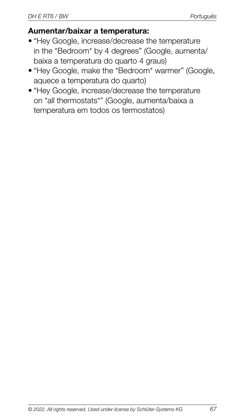### Aumentar/baixar a temperatura:

- "Hey Google, increase/decrease the temperature in the \*Bedroom\* by 4 degrees" (Google, aumenta/ baixa a temperatura do quarto 4 graus)
- "Hey Google, make the \*Bedroom\* warmer" (Google, aquece a temperatura do quarto)
- "Hey Google, increase/decrease the temperature on \*all thermostats\*" (Google, aumenta/baixa a temperatura em todos os termostatos)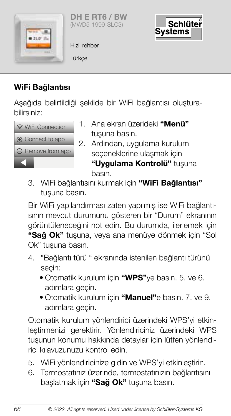

Hızlı rehber

**Türkce** 



### WiFi Bağlantısı

Aşağıda belirtildiği şekilde bir WiFi bağlantısı oluşturabilirsiniz:



- 1. Ana ekran üzerideki "Menü" tuşuna basın.
- 2. Ardından, uygulama kurulum seçeneklerine ulaşmak için "Uygulama Kontrolü" tuşuna basın.
- 3. WiFi bağlantısını kurmak için "WiFi Bağlantısı" tuşuna basın.

Bir WiFi yapılandırması zaten yapılmış ise WiFi bağlantısının mevcut durumunu gösteren bir "Durum" ekranının görüntüleneceğini not edin. Bu durumda, ilerlemek için "Sağ Ok" tuşuna, veya ana menüye dönmek için "Sol Ok" tuşuna basın.

- 4. "Bağlantı türü " ekranında istenilen bağlantı türünü secin:
	- Otomatik kurulum için "WPS"ye basın. 5. ve 6. adımlara geçin.
	- Otomatik kurulum için "Manuel"e basın. 7. ve 9. adımlara geçin.

Otomatik kurulum yönlendirici üzerindeki WPS'yi etkinleştirmenizi gerektirir. Yönlendiriciniz üzerindeki WPS tuşunun konumu hakkında detaylar için lütfen yönlendirici kılavuzunuzu kontrol edin.

- 5. WiFi yönlendiricinize gidin ve WPS'yi etkinleştirin.
- 6. Termostatınız üzerinde, termostatınızın bağlantısını başlatmak için "Sağ Ok" tuşuna basın.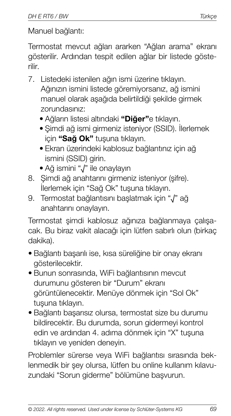Manuel bağlantı:

Termostat mevcut ağları ararken "Ağları arama" ekranı gösterilir. Ardından tespit edilen ağlar bir listede gösterilir.

- 7. Listedeki istenilen ağın ismi üzerine tıklayın. Ağınızın ismini listede göremiyorsanız, ağ ismini manuel olarak aşağıda belirtildiği şekilde girmek zorundasınız:
	- Ağların listesi altındaki "Diğer"e tıklayın.
	- Şimdi ağ ismi girmeniz isteniyor (SSID). İlerlemek için "Sağ Ok" tuşuna tıklayın.
	- Ekran üzerindeki kablosuz bağlantınız için ağ ismini (SSID) girin.
	- Ağ ismini "√" ile onaylayın
- 8. Şimdi ağ anahtarını girmeniz isteniyor (şifre). İlerlemek için "Sağ Ok" tuşuna tıklayın.
- 9. Termostat bağlantısını başlatmak için "√" ağ anahtarını onaylayın.

Termostat şimdi kablosuz ağınıza bağlanmaya çalışacak. Bu biraz vakit alacağı için lütfen sabırlı olun (birkaç dakika).

- Bağlantı başarılı ise, kısa süreliğine bir onay ekranı gösterilecektir.
- Bunun sonrasında, WiFi bağlantısının mevcut durumunu gösteren bir "Durum" ekranı görüntülenecektir. Menüye dönmek için "Sol Ok" tuşuna tıklayın.
- Bağlantı başarısız olursa, termostat size bu durumu bildirecektir. Bu durumda, sorun gidermeyi kontrol edin ve ardından 4. adıma dönmek için "X" tuşuna tıklayın ve yeniden deneyin.

Problemler sürerse veya WiFi bağlantısı sırasında beklenmedik bir şey olursa, lütfen bu online kullanım kılavuzundaki "Sorun giderme" bölümüne başvurun.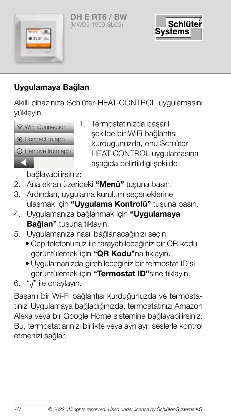



# Uygulamaya Bağlan

Akıllı cihazınıza Schlüter-HEAT-CONTROL uygulamasını yükleyin.



1. Termostatınızda başarılı şekilde bir WiFi bağlantısı kurduğunuzda, onu Schlüter-HEAT-CONTROL uygulamasına aşağıda belirtildiği şekilde

bağlayabilirsiniz:

- 2. Ana ekran üzerideki "Menü" tusuna basın.
- 3. Ardından, uygulama kurulum seçeneklerine ulasmak için "Uygulama Kontrolü" tuşuna basın.
- 4. Uygulamanıza bağlanmak için "Uygulamaya Bağlan" tuşuna tıklayın.
- 5. Uygulamanıza nasıl bağlanacağınızı seçin:
	- Cep telefonunuz ile tarayabileceğiniz bir QR kodu görüntülemek için "QR Kodu"na tıklayın.
	- Uygulamanızda girebileceğiniz bir termostat ID'si görüntülemek için "Termostat ID"sine tıklayın.
- 6. "√" ile onaylayın.

Başarılı bir Wi-Fi bağlantısı kurduğunuzda ve termostatınızı Uygulamaya bağladığınızda, termostatınızı Amazon Alexa veya bir Google Home sistemine bağlayabilirsiniz. Bu, termostatlarınızı birlikte veya ayrı ayrı seslerle kontrol etmenizi sağlar.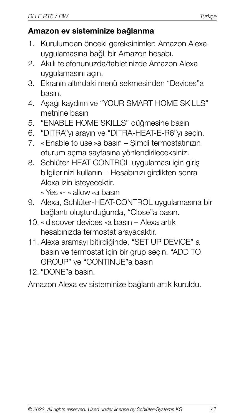## Amazon ev sisteminize bağlanma

- 1. Kurulumdan önceki gereksinimler: Amazon Alexa uygulamasına bağlı bir Amazon hesabı.
- 2. Akıllı telefonunuzda/tabletinizde Amazon Alexa uygulamasını açın.
- 3. Ekranın altındaki menü sekmesinden "Devices"a basın.
- 4. Aşağı kaydırın ve "YOUR SMART HOME SKILLS" metnine basın
- 5. "ENABLE HOME SKILLS" düğmesine basın
- 6. "DITRA"yı arayın ve "DITRA-HEAT-E-R6"yı seçin.
- 7. « Enable to use »a basın Şimdi termostatınızın oturum açma sayfasına yönlendirileceksiniz.
- 8. Schlüter-HEAT-CONTROL uygulaması için giriş bilgilerinizi kullanın – Hesabınızı girdikten sonra Alexa izin isteyecektir.

« Yes »- « allow »a basın

- 9. Alexa, Schlüter-HEAT-CONTROL uygulamasına bir bağlantı oluşturduğunda, "Close"a basın.
- 10. « discover devices »a basın Alexa artık hesabınızda termostat arayacaktır.
- 11. Alexa aramayı bitirdiğinde, "SET UP DEVICE" a basın ve termostat için bir grup seçin. "ADD TO GROUP" ve "CONTINUE"a basın
- 12. "DONE"a basın.

Amazon Alexa ev sisteminize bağlantı artık kuruldu.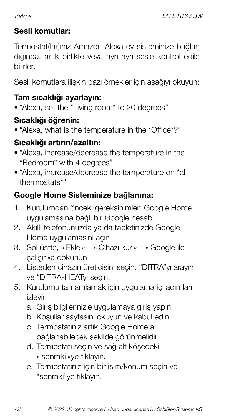# Sesli komutlar:

Termostat(lar)ınız Amazon Alexa ev sisteminize bağlandığında, artık birlikte veya ayrı ayrı sesle kontrol edilebilirler.

Sesli komutlara ilişkin bazı örnekler için aşağıyı okuyun:

# Tam sıcaklığı ayarlayın:

• "Alexa, set the \*Living room\* to 20 degrees"

# Sıcaklığı öğrenin:

• "Alexa, what is the temperature in the \*Office\*?"

# Sıcaklığı artırın/azaltın:

- "Alexa, increase/decrease the temperature in the \*Bedroom\* with 4 degrees"
- "Alexa, increase/decrease the temperature on \*all thermostats\*"

# Google Home Sisteminize bağlanma:

- 1. Kurulumdan önceki gereksinimler: Google Home uygulamasına bağlı bir Google hesabı.
- 2. Akıllı telefonunuzda ya da tabletinizde Google Home uygulamasını açın.
- 3. Sol üstte, « Ekle » « Cihazı kur » « Google ile çalışır »a dokunun
- 4. Listeden cihazın üreticisini seçin. "DITRA"yı arayın ve "DITRA-HEATyi seçin.
- 5. Kurulumu tamamlamak için uygulama içi adımları izleyin
	- a. Giriş bilgilerinizle uygulamaya giriş yapın.
	- b. Koşullar sayfasını okuyun ve kabul edin.
	- c. Termostatınız artık Google Home'a bağlanabilecek şekilde görünmelidir.
	- d. Termostatı seçin ve sağ alt köşedeki « sonraki »ye tıklayın.
	- e. Termostatınız için bir isim/konum seçin ve "sonraki"ye tıklayın.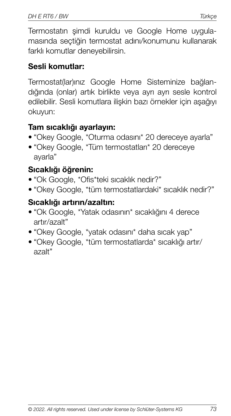Termostatın şimdi kuruldu ve Google Home uygulamasında seçtiğin termostat adını/konumunu kullanarak farklı komutlar deneyebilirsin.

## Sesli komutlar:

Termostat(lar)ınız Google Home Sisteminize bağlandığında (onlar) artık birlikte veya ayrı ayrı sesle kontrol edilebilir. Sesli komutlara ilişkin bazı örnekler için aşağıyı okuyun:

### Tam sıcaklığı ayarlayın:

- "Okey Google, \*Oturma odasını\* 20 dereceye ayarla"
- "Okey Google, \*Tüm termostatları\* 20 dereceye ayarla"

### Sıcaklığı öğrenin:

- "Ok Google, \*Ofis\*teki sıcaklık nedir?"
- "Okey Google, \*tüm termostatlardaki\* sıcaklık nedir?"

### Sıcaklığı artırın/azaltın:

- "Ok Google, \*Yatak odasının\* sıcaklığını 4 derece artır/azalt"
- "Okey Google, \*yatak odasını\* daha sıcak yap"
- "Okey Google, \*tüm termostatlarda\* sıcaklığı artır/ azalt"